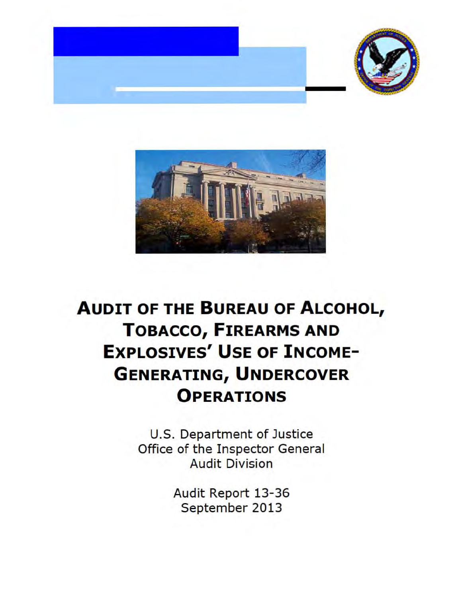



# **AUDIT OF THE BUREAU OF ALCOHOL, TOBACCO, FIREARMS AND EXPLOSIVES' USE OF INCOME GENERATING, UNDERCOVER OPERATIONS**

U.S. Department of Justice Office of the Inspector General Audit Division

> Audit Report 13-36 September 2013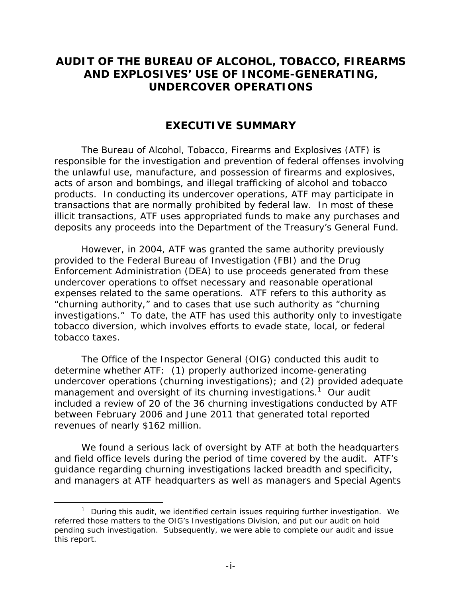# **AUDIT OF THE BUREAU OF ALCOHOL, TOBACCO, FIREARMS AND EXPLOSIVES' USE OF INCOME-GENERATING, UNDERCOVER OPERATIONS**

# **EXECUTIVE SUMMARY**

The Bureau of Alcohol, Tobacco, Firearms and Explosives (ATF) is responsible for the investigation and prevention of federal offenses involving the unlawful use, manufacture, and possession of firearms and explosives, acts of arson and bombings, and illegal trafficking of alcohol and tobacco products. In conducting its undercover operations, ATF may participate in transactions that are normally prohibited by federal law. In most of these illicit transactions, ATF uses appropriated funds to make any purchases and deposits any proceeds into the Department of the Treasury's General Fund.

However, in 2004, ATF was granted the same authority previously provided to the Federal Bureau of Investigation (FBI) and the Drug Enforcement Administration (DEA) to use proceeds generated from these undercover operations to offset necessary and reasonable operational expenses related to the same operations. ATF refers to this authority as "churning authority," and to cases that use such authority as "churning investigations." To date, the ATF has used this authority only to investigate tobacco diversion, which involves efforts to evade state, local, or federal tobacco taxes.

The Office of the Inspector General (OIG) conducted this audit to determine whether ATF: (1) properly authorized income-generating undercover operations (churning investigations); and (2) provided adequate management and oversight of its churning investigations.<sup>1</sup> Our audit included a review of 20 of the 36 churning investigations conducted by ATF between February 2006 and June 2011 that generated total reported revenues of nearly \$162 million.

We found a serious lack of oversight by ATF at both the headquarters and field office levels during the period of time covered by the audit. ATF's guidance regarding churning investigations lacked breadth and specificity, and managers at ATF headquarters as well as managers and Special Agents

 $1$  During this audit, we identified certain issues requiring further investigation. We referred those matters to the OIG's Investigations Division, and put our audit on hold pending such investigation. Subsequently, we were able to complete our audit and issue this report.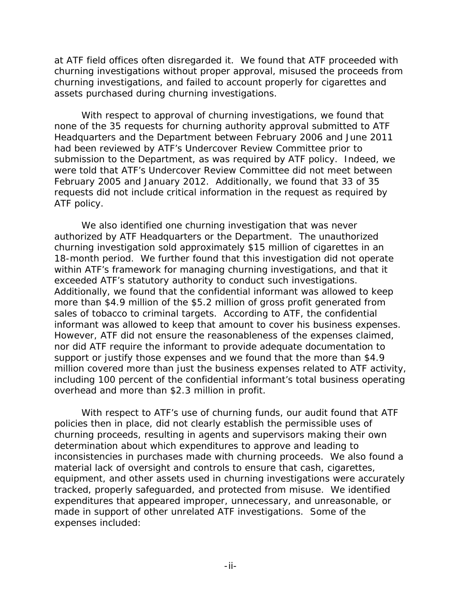at ATF field offices often disregarded it. We found that ATF proceeded with churning investigations without proper approval, misused the proceeds from churning investigations, and failed to account properly for cigarettes and assets purchased during churning investigations.

With respect to approval of churning investigations, we found that none of the 35 requests for churning authority approval submitted to ATF Headquarters and the Department between February 2006 and June 2011 had been reviewed by ATF's Undercover Review Committee prior to submission to the Department, as was required by ATF policy. Indeed, we were told that ATF's Undercover Review Committee did not meet between February 2005 and January 2012. Additionally, we found that 33 of 35 requests did not include critical information in the request as required by ATF policy.

We also identified one churning investigation that was never authorized by ATF Headquarters or the Department. The unauthorized churning investigation sold approximately \$15 million of cigarettes in an 18-month period. We further found that this investigation did not operate within ATF's framework for managing churning investigations, and that it exceeded ATF's statutory authority to conduct such investigations. Additionally, we found that the confidential informant was allowed to keep more than \$4.9 million of the \$5.2 million of gross profit generated from sales of tobacco to criminal targets. According to ATF, the confidential informant was allowed to keep that amount to cover his business expenses. However, ATF did not ensure the reasonableness of the expenses claimed, nor did ATF require the informant to provide adequate documentation to support or justify those expenses and we found that the more than \$4.9 million covered more than just the business expenses related to ATF activity, including 100 percent of the confidential informant's total business operating overhead and more than \$2.3 million in profit.

With respect to ATF's use of churning funds, our audit found that ATF policies then in place, did not clearly establish the permissible uses of churning proceeds, resulting in agents and supervisors making their own determination about which expenditures to approve and leading to inconsistencies in purchases made with churning proceeds. We also found a material lack of oversight and controls to ensure that cash, cigarettes, equipment, and other assets used in churning investigations were accurately tracked, properly safeguarded, and protected from misuse. We identified expenditures that appeared improper, unnecessary, and unreasonable, or made in support of other unrelated ATF investigations. Some of the expenses included: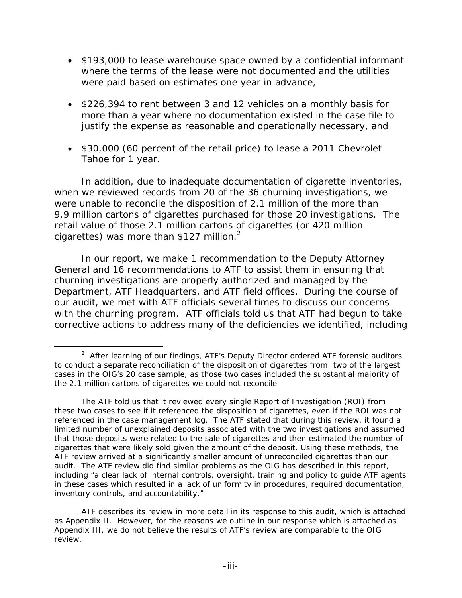- \$193,000 to lease warehouse space owned by a confidential informant where the terms of the lease were not documented and the utilities were paid based on estimates one year in advance,
- \$226,394 to rent between 3 and 12 vehicles on a monthly basis for more than a year where no documentation existed in the case file to justify the expense as reasonable and operationally necessary, and
- \$30,000 (60 percent of the retail price) to lease a 2011 Chevrolet Tahoe for 1 year.

In addition, due to inadequate documentation of cigarette inventories, when we reviewed records from 20 of the 36 churning investigations, we were unable to reconcile the disposition of 2.1 million of the more than 9.9 million cartons of cigarettes purchased for those 20 investigations. The retail value of those 2.1 million cartons of cigarettes (or 420 million cigarettes) was more than \$127 million. $<sup>2</sup>$ </sup>

In our report, we make 1 recommendation to the Deputy Attorney General and 16 recommendations to ATF to assist them in ensuring that churning investigations are properly authorized and managed by the Department, ATF Headquarters, and ATF field offices. During the course of our audit, we met with ATF officials several times to discuss our concerns with the churning program. ATF officials told us that ATF had begun to take corrective actions to address many of the deficiencies we identified, including

<sup>&</sup>lt;sup>2</sup> After learning of our findings, ATF's Deputy Director ordered ATF forensic auditors to conduct a separate reconciliation of the disposition of cigarettes from two of the largest cases in the OIG's 20 case sample, as those two cases included the substantial majority of the 2.1 million cartons of cigarettes we could not reconcile.

inventory controls, and accountability." The ATF told us that it reviewed every single Report of Investigation (ROI) from these two cases to see if it referenced the disposition of cigarettes, even if the ROI was not referenced in the case management log. The ATF stated that during this review, it found a limited number of unexplained deposits associated with the two investigations and assumed that those deposits were related to the sale of cigarettes and then estimated the number of cigarettes that were likely sold given the amount of the deposit. Using these methods, the ATF review arrived at a significantly smaller amount of unreconciled cigarettes than our audit. The ATF review did find similar problems as the OIG has described in this report, including "a clear lack of internal controls, oversight, training and policy to guide ATF agents in these cases which resulted in a lack of uniformity in procedures, required documentation,

ATF describes its review in more detail in its response to this audit, which is attached as Appendix II. However, for the reasons we outline in our response which is attached as Appendix III, we do not believe the results of ATF's review are comparable to the OIG review.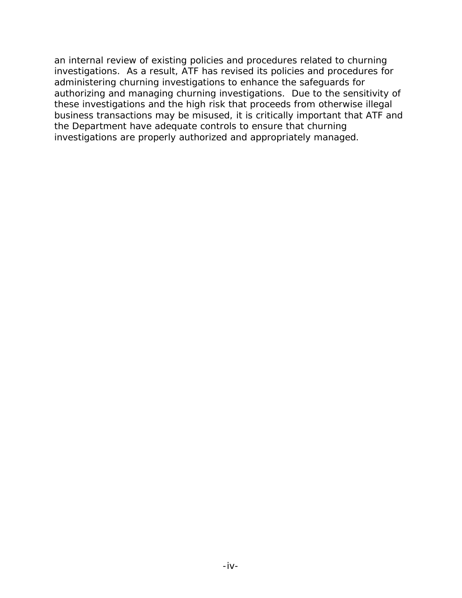an internal review of existing policies and procedures related to churning investigations. As a result, ATF has revised its policies and procedures for administering churning investigations to enhance the safeguards for authorizing and managing churning investigations. Due to the sensitivity of these investigations and the high risk that proceeds from otherwise illegal business transactions may be misused, it is critically important that ATF and the Department have adequate controls to ensure that churning investigations are properly authorized and appropriately managed.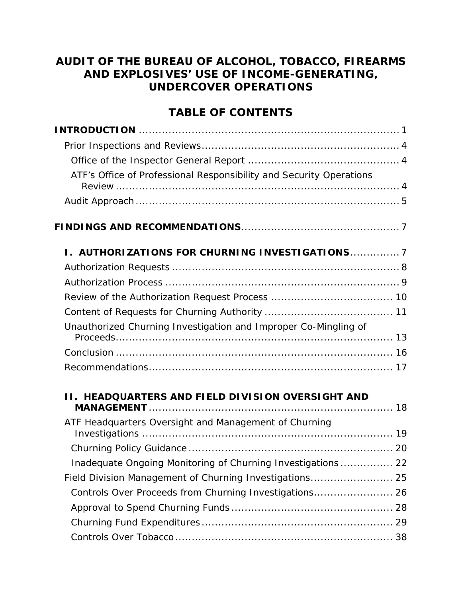# **AUDIT OF THE BUREAU OF ALCOHOL, TOBACCO, FIREARMS AND EXPLOSIVES' USE OF INCOME-GENERATING, UNDERCOVER OPERATIONS**

# **TABLE OF CONTENTS**

| ATF's Office of Professional Responsibility and Security Operations |  |
|---------------------------------------------------------------------|--|
|                                                                     |  |
|                                                                     |  |
| I. AUTHORIZATIONS FOR CHURNING INVESTIGATIONS7                      |  |
|                                                                     |  |
|                                                                     |  |
|                                                                     |  |
|                                                                     |  |
| Unauthorized Churning Investigation and Improper Co-Mingling of     |  |
|                                                                     |  |
|                                                                     |  |
| <b>II. HEADQUARTERS AND FIELD DIVISION OVERSIGHT AND</b>            |  |
| ATF Headquarters Oversight and Management of Churning               |  |
|                                                                     |  |
| Inadequate Ongoing Monitoring of Churning Investigations  22        |  |
| Field Division Management of Churning Investigations 25             |  |
| Controls Over Proceeds from Churning Investigations 26              |  |
|                                                                     |  |
|                                                                     |  |
|                                                                     |  |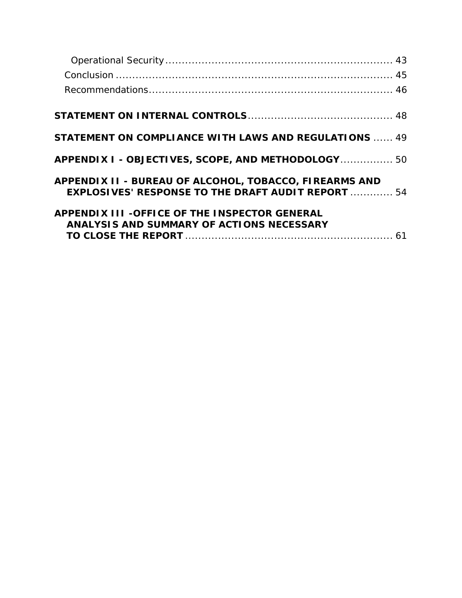| <b>STATEMENT ON COMPLIANCE WITH LAWS AND REGULATIONS  49</b>                                                        |  |
|---------------------------------------------------------------------------------------------------------------------|--|
| APPENDIX I - OBJECTIVES, SCOPE, AND METHODOLOGY 50                                                                  |  |
| APPENDIX II - BUREAU OF ALCOHOL, TOBACCO, FIREARMS AND<br><b>EXPLOSIVES' RESPONSE TO THE DRAFT AUDIT REPORT  54</b> |  |
| APPENDIX III - OFFICE OF THE INSPECTOR GENERAL<br>ANALYSIS AND SUMMARY OF ACTIONS NECESSARY                         |  |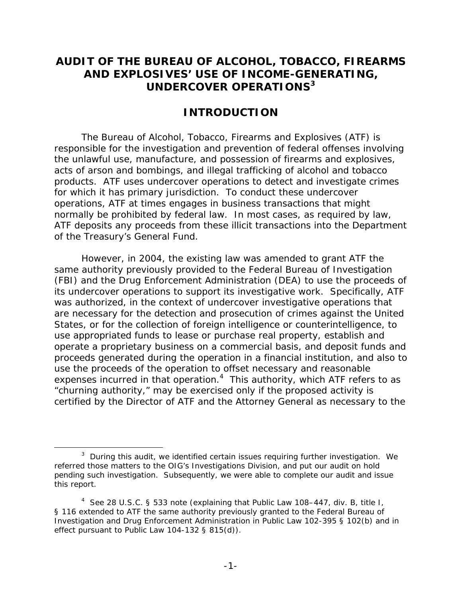# **AUDIT OF THE BUREAU OF ALCOHOL, TOBACCO, FIREARMS AND EXPLOSIVES' USE OF INCOME-GENERATING, UNDERCOVER OPERATIONS<sup>3</sup>**

# **INTRODUCTION**

The Bureau of Alcohol, Tobacco, Firearms and Explosives (ATF) is responsible for the investigation and prevention of federal offenses involving the unlawful use, manufacture, and possession of firearms and explosives, acts of arson and bombings, and illegal trafficking of alcohol and tobacco products. ATF uses undercover operations to detect and investigate crimes for which it has primary jurisdiction. To conduct these undercover operations, ATF at times engages in business transactions that might normally be prohibited by federal law. In most cases, as required by law, ATF deposits any proceeds from these illicit transactions into the Department of the Treasury's General Fund.

However, in 2004, the existing law was amended to grant ATF the same authority previously provided to the Federal Bureau of Investigation (FBI) and the Drug Enforcement Administration (DEA) to use the proceeds of its undercover operations to support its investigative work. Specifically, ATF was authorized, in the context of undercover investigative operations that are necessary for the detection and prosecution of crimes against the United States, or for the collection of foreign intelligence or counterintelligence, to use appropriated funds to lease or purchase real property, establish and operate a proprietary business on a commercial basis, and deposit funds and proceeds generated during the operation in a financial institution, and also to use the proceeds of the operation to offset necessary and reasonable expenses incurred in that operation. $4$  This authority, which ATF refers to as "churning authority," may be exercised only if the proposed activity is certified by the Director of ATF and the Attorney General as necessary to the

 $3$  During this audit, we identified certain issues requiring further investigation. We referred those matters to the OIG's Investigations Division, and put our audit on hold pending such investigation. Subsequently, we were able to complete our audit and issue this report.

<sup>&</sup>lt;sup>4</sup> See 28 U.S.C. § 533 note (explaining that Public Law 108-447, div. B, title I, § 116 extended to ATF the same authority previously granted to the Federal Bureau of Investigation and Drug Enforcement Administration in Public Law 102-395 § 102(b) and in effect pursuant to Public Law 104-132 § 815(d)).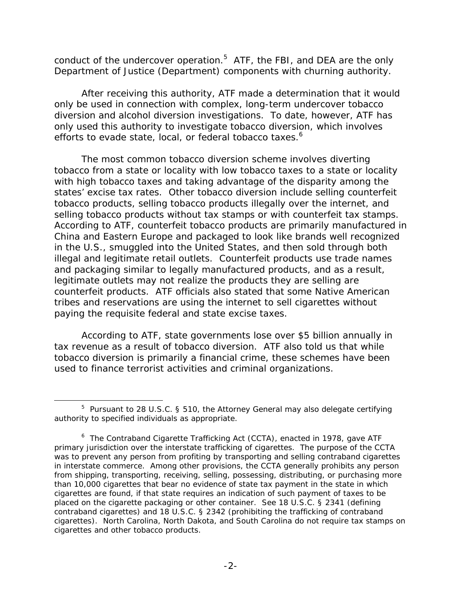conduct of the undercover operation. $5$  ATF, the FBI, and DEA are the only Department of Justice (Department) components with churning authority.

After receiving this authority, ATF made a determination that it would only be used in connection with complex, long-term undercover tobacco diversion and alcohol diversion investigations. To date, however, ATF has only used this authority to investigate tobacco diversion, which involves efforts to evade state, local, or federal tobacco taxes.<sup>6</sup>

The most common tobacco diversion scheme involves diverting tobacco from a state or locality with low tobacco taxes to a state or locality with high tobacco taxes and taking advantage of the disparity among the states' excise tax rates. Other tobacco diversion include selling counterfeit tobacco products, selling tobacco products illegally over the internet, and selling tobacco products without tax stamps or with counterfeit tax stamps. According to ATF, counterfeit tobacco products are primarily manufactured in China and Eastern Europe and packaged to look like brands well recognized in the U.S., smuggled into the United States, and then sold through both illegal and legitimate retail outlets. Counterfeit products use trade names and packaging similar to legally manufactured products, and as a result, legitimate outlets may not realize the products they are selling are counterfeit products. ATF officials also stated that some Native American tribes and reservations are using the internet to sell cigarettes without paying the requisite federal and state excise taxes.

According to ATF, state governments lose over \$5 billion annually in tax revenue as a result of tobacco diversion. ATF also told us that while tobacco diversion is primarily a financial crime, these schemes have been used to finance terrorist activities and criminal organizations.

<sup>&</sup>lt;sup>5</sup> Pursuant to 28 U.S.C. § 510, the Attorney General may also delegate certifying authority to specified individuals as appropriate.

<sup>&</sup>lt;sup>6</sup> The Contraband Cigarette Trafficking Act (CCTA), enacted in 1978, gave ATF primary jurisdiction over the interstate trafficking of cigarettes. The purpose of the CCTA was to prevent any person from profiting by transporting and selling contraband cigarettes in interstate commerce. Among other provisions, the CCTA generally prohibits any person from shipping, transporting, receiving, selling, possessing, distributing, or purchasing more than 10,000 cigarettes that bear no evidence of state tax payment in the state in which cigarettes are found, if that state requires an indication of such payment of taxes to be placed on the cigarette packaging or other container. See 18 U.S.C. § 2341 (defining contraband cigarettes) and 18 U.S.C. § 2342 (prohibiting the trafficking of contraband cigarettes). North Carolina, North Dakota, and South Carolina do not require tax stamps on cigarettes and other tobacco products.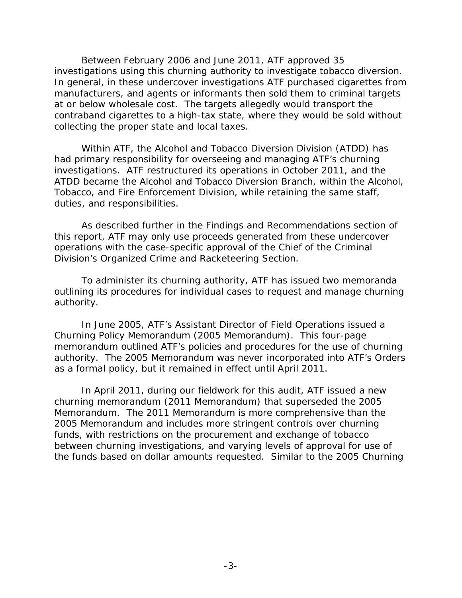Between February 2006 and June 2011, ATF approved 35 investigations using this churning authority to investigate tobacco diversion. In general, in these undercover investigations ATF purchased cigarettes from manufacturers, and agents or informants then sold them to criminal targets at or below wholesale cost. The targets allegedly would transport the contraband cigarettes to a high-tax state, where they would be sold without collecting the proper state and local taxes.

Within ATF, the Alcohol and Tobacco Diversion Division (ATDD) has had primary responsibility for overseeing and managing ATF's churning investigations. ATF restructured its operations in October 2011, and the ATDD became the Alcohol and Tobacco Diversion Branch, within the Alcohol, Tobacco, and Fire Enforcement Division, while retaining the same staff, duties, and responsibilities.

As described further in the Findings and Recommendations section of this report, ATF may only use proceeds generated from these undercover operations with the case-specific approval of the Chief of the Criminal Division's Organized Crime and Racketeering Section.

To administer its churning authority, ATF has issued two memoranda outlining its procedures for individual cases to request and manage churning authority.

In June 2005, ATF's Assistant Director of Field Operations issued a Churning Policy Memorandum (2005 Memorandum). This four-page memorandum outlined ATF's policies and procedures for the use of churning authority. The 2005 Memorandum was never incorporated into ATF's Orders as a formal policy, but it remained in effect until April 2011.

In April 2011, during our fieldwork for this audit, ATF issued a new churning memorandum (2011 Memorandum) that superseded the 2005 Memorandum. The 2011 Memorandum is more comprehensive than the 2005 Memorandum and includes more stringent controls over churning funds, with restrictions on the procurement and exchange of tobacco between churning investigations, and varying levels of approval for use of the funds based on dollar amounts requested. Similar to the 2005 Churning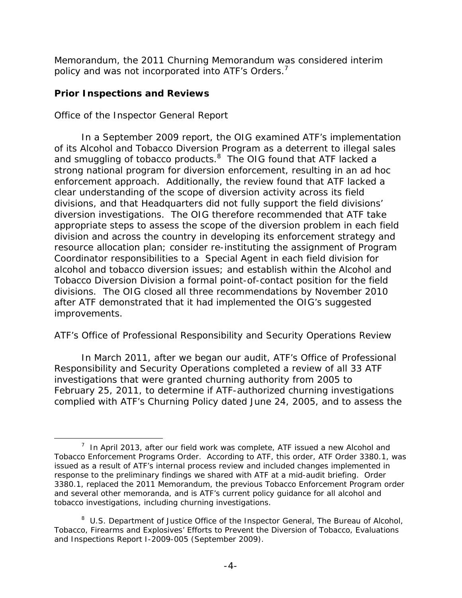Memorandum, the 2011 Churning Memorandum was considered interim policy and was not incorporated into ATF's Orders.<sup>7</sup>

#### **Prior Inspections and Reviews**

 $\overline{a}$ 

## *Office of the Inspector General Report*

In a September 2009 report, the OIG examined ATF's implementation of its Alcohol and Tobacco Diversion Program as a deterrent to illegal sales and smuggling of tobacco products. $8$  The OIG found that ATF lacked a strong national program for diversion enforcement, resulting in an ad hoc enforcement approach. Additionally, the review found that ATF lacked a clear understanding of the scope of diversion activity across its field divisions, and that Headquarters did not fully support the field divisions' diversion investigations. The OIG therefore recommended that ATF take appropriate steps to assess the scope of the diversion problem in each field division and across the country in developing its enforcement strategy and resource allocation plan; consider re-instituting the assignment of Program Coordinator responsibilities to a Special Agent in each field division for alcohol and tobacco diversion issues; and establish within the Alcohol and Tobacco Diversion Division a formal point-of-contact position for the field divisions. The OIG closed all three recommendations by November 2010 after ATF demonstrated that it had implemented the OIG's suggested improvements.

## *ATF's Office of Professional Responsibility and Security Operations Review*

In March 2011, after we began our audit, ATF's Office of Professional Responsibility and Security Operations completed a review of all 33 ATF investigations that were granted churning authority from 2005 to February 25, 2011, to determine if ATF-authorized churning investigations complied with ATF's Churning Policy dated June 24, 2005, and to assess the

 $7$  In April 2013, after our field work was complete, ATF issued a new Alcohol and Tobacco Enforcement Programs Order. According to ATF, this order, ATF Order 3380.1, was issued as a result of ATF's internal process review and included changes implemented in response to the preliminary findings we shared with ATF at a mid-audit briefing. Order 3380.1, replaced the 2011 Memorandum, the previous Tobacco Enforcement Program order and several other memoranda, and is ATF's current policy guidance for all alcohol and tobacco investigations, including churning investigations.

<sup>8</sup> U.S. Department of Justice Office of the Inspector General, *The Bureau of Alcohol, Tobacco, Firearms and Explosives' Efforts to Prevent the Diversion of Tobacco*, Evaluations and Inspections Report I-2009-005 (September 2009).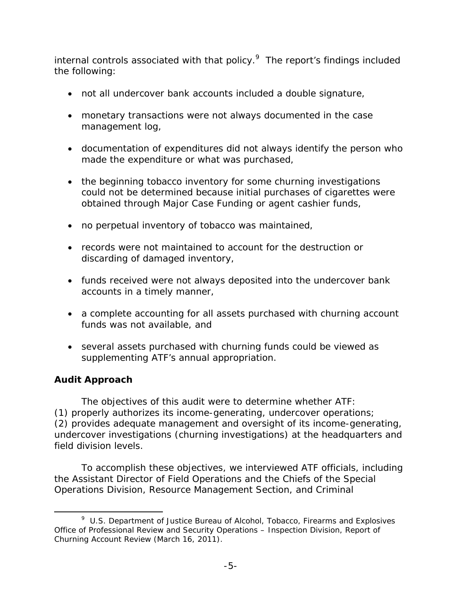internal controls associated with that policy. $9$  The report's findings included the following:

- not all undercover bank accounts included a double signature,
- monetary transactions were not always documented in the case management log,
- documentation of expenditures did not always identify the person who made the expenditure or what was purchased,
- the beginning tobacco inventory for some churning investigations could not be determined because initial purchases of cigarettes were obtained through Major Case Funding or agent cashier funds,
- no perpetual inventory of tobacco was maintained,
- records were not maintained to account for the destruction or discarding of damaged inventory,
- funds received were not always deposited into the undercover bank accounts in a timely manner,
- a complete accounting for all assets purchased with churning account funds was not available, and
- several assets purchased with churning funds could be viewed as supplementing ATF's annual appropriation.

# **Audit Approach**

The objectives of this audit were to determine whether ATF: (1) properly authorizes its income-generating, undercover operations; (2) provides adequate management and oversight of its income-generating, undercover investigations (churning investigations) at the headquarters and field division levels.

To accomplish these objectives, we interviewed ATF officials, including the Assistant Director of Field Operations and the Chiefs of the Special Operations Division, Resource Management Section, and Criminal

 $\overline{a}$ <sup>9</sup> U.S. Department of Justice Bureau of Alcohol, Tobacco, Firearms and Explosives Office of Professional Review and Security Operations – Inspection Division, *Report of Churning Account Review* (March 16, 2011).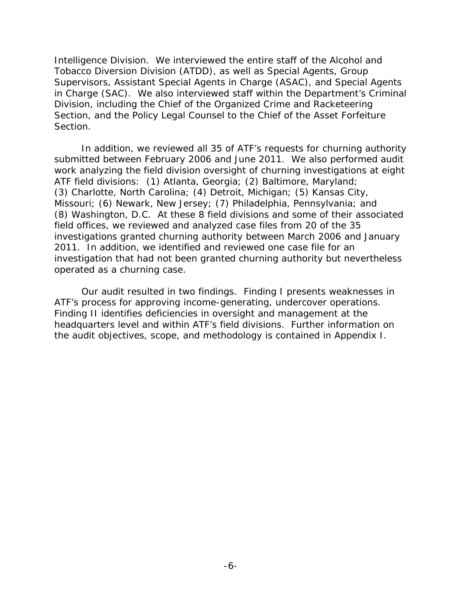Intelligence Division. We interviewed the entire staff of the Alcohol and Tobacco Diversion Division (ATDD), as well as Special Agents, Group Supervisors, Assistant Special Agents in Charge (ASAC), and Special Agents in Charge (SAC). We also interviewed staff within the Department's Criminal Division, including the Chief of the Organized Crime and Racketeering Section, and the Policy Legal Counsel to the Chief of the Asset Forfeiture Section.

In addition, we reviewed all 35 of ATF's requests for churning authority submitted between February 2006 and June 2011. We also performed audit work analyzing the field division oversight of churning investigations at eight ATF field divisions: (1) Atlanta, Georgia; (2) Baltimore, Maryland; (3) Charlotte, North Carolina; (4) Detroit, Michigan; (5) Kansas City, Missouri; (6) Newark, New Jersey; (7) Philadelphia, Pennsylvania; and (8) Washington, D.C. At these 8 field divisions and some of their associated field offices, we reviewed and analyzed case files from 20 of the 35 investigations granted churning authority between March 2006 and January 2011. In addition, we identified and reviewed one case file for an investigation that had not been granted churning authority but nevertheless operated as a churning case.

Our audit resulted in two findings. Finding I presents weaknesses in ATF's process for approving income-generating, undercover operations. Finding II identifies deficiencies in oversight and management at the headquarters level and within ATF's field divisions. Further information on the audit objectives, scope, and methodology is contained in Appendix I.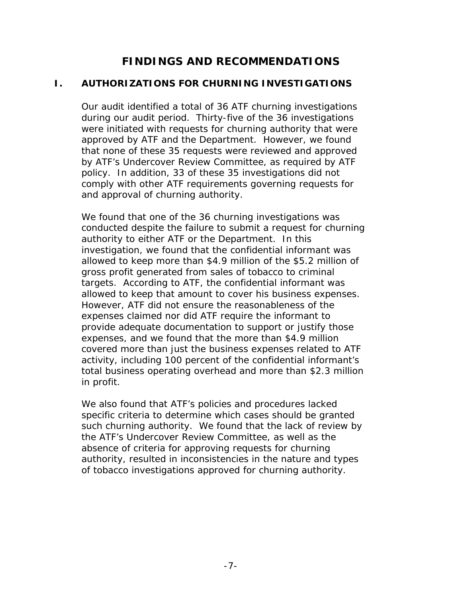# **FINDINGS AND RECOMMENDATIONS**

#### **I. AUTHORIZATIONS FOR CHURNING INVESTIGATIONS**

Our audit identified a total of 36 ATF churning investigations during our audit period. Thirty-five of the 36 investigations were initiated with requests for churning authority that were approved by ATF and the Department. However, we found that none of these 35 requests were reviewed and approved by ATF's Undercover Review Committee, as required by ATF policy. In addition, 33 of these 35 investigations did not comply with other ATF requirements governing requests for and approval of churning authority.

We found that one of the 36 churning investigations was conducted despite the failure to submit a request for churning authority to either ATF or the Department. In this investigation, we found that the confidential informant was allowed to keep more than \$4.9 million of the \$5.2 million of gross profit generated from sales of tobacco to criminal targets. According to ATF, the confidential informant was allowed to keep that amount to cover his business expenses. However, ATF did not ensure the reasonableness of the expenses claimed nor did ATF require the informant to provide adequate documentation to support or justify those expenses, and we found that the more than \$4.9 million covered more than just the business expenses related to ATF activity, including 100 percent of the confidential informant's total business operating overhead and more than \$2.3 million in profit.

We also found that ATF's policies and procedures lacked specific criteria to determine which cases should be granted such churning authority. We found that the lack of review by the ATF's Undercover Review Committee, as well as the absence of criteria for approving requests for churning authority, resulted in inconsistencies in the nature and types of tobacco investigations approved for churning authority.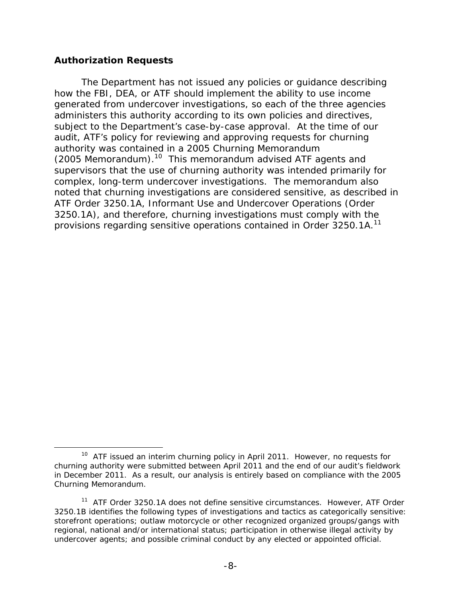## **Authorization Requests**

 $\overline{a}$ 

The Department has not issued any policies or guidance describing how the FBI, DEA, or ATF should implement the ability to use income generated from undercover investigations, so each of the three agencies administers this authority according to its own policies and directives, subject to the Department's case-by-case approval. At the time of our audit, ATF's policy for reviewing and approving requests for churning authority was contained in a 2005 Churning Memorandum (2005 Memorandum).<sup>10</sup> This memorandum advised ATF agents and supervisors that the use of churning authority was intended primarily for complex, long-term undercover investigations. The memorandum also noted that churning investigations are considered sensitive, as described in ATF Order 3250.1A, Informant Use and Undercover Operations (Order 3250.1A), and therefore, churning investigations must comply with the provisions regarding sensitive operations contained in Order 3250.1A.<sup>11</sup>

 $10$  ATF issued an interim churning policy in April 2011. However, no requests for churning authority were submitted between April 2011 and the end of our audit's fieldwork in December 2011. As a result, our analysis is entirely based on compliance with the 2005 Churning Memorandum.

<sup>&</sup>lt;sup>11</sup> ATF Order 3250.1A does not define sensitive circumstances. However, ATF Order 3250.1B identifies the following types of investigations and tactics as categorically sensitive: storefront operations; outlaw motorcycle or other recognized organized groups/gangs with regional, national and/or international status; participation in otherwise illegal activity by undercover agents; and possible criminal conduct by any elected or appointed official.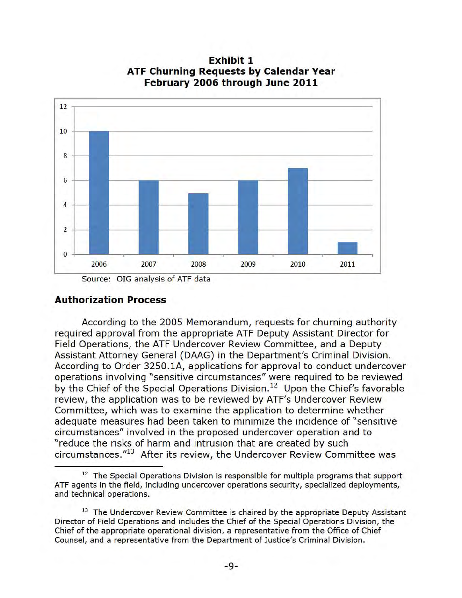

Exhibit 1 ATF Churning Requests by Calendar Year February 2006 through June 2011

#### Authorization Process

According to the 2005 Memorandum, requests for churning authority required approval from the appropriate ATF Deputy Assistant Director for Field Operations, the ATF Undercover Review Committee, and a Deputy Assistant Attorney General (DAAG) in the Department's Criminal Division. According to Order 3250.1A, applications for approval to conduct undercover operations involving "sensitive circumstances" were required to be reviewed by the Chief of the Special Operations Division.<sup>12</sup> Upon the Chief's favorable review, the application was to be reviewed by ATF's Undercover Review Committee, which was to examine the application to determine whether adequate measures had been taken to minimize the incidence of "sensitive circumstances" involved in the proposed undercover operation and to " reduce the risks of harm and intrusion that are created by such circumstances."<sup>13</sup> After its review, the Undercover Review Committee was

 $12$  The Special Operations Division is responsible for multiple programs that support ATF agents in the field, including undercover operations security, specialized deployments, and technical operations.

<sup>&</sup>lt;sup>13</sup> The Undercover Review Committee is chaired by the appropriate Deputy Assistant Director of Field Operations and includes the Chief of the Special Operations Division, the Chief of the appropriate operational division, a representative from the Office of Chief Counsel, and a representative from the Department of Justice's Criminal Division.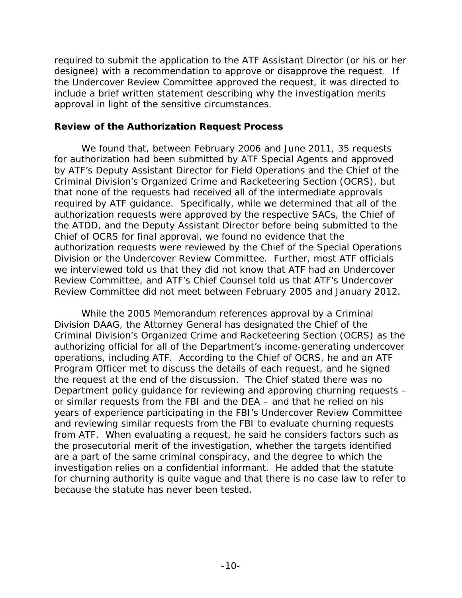required to submit the application to the ATF Assistant Director (or his or her designee) with a recommendation to approve or disapprove the request. If the Undercover Review Committee approved the request, it was directed to include a brief written statement describing why the investigation merits approval in light of the sensitive circumstances.

#### **Review of the Authorization Request Process**

We found that, between February 2006 and June 2011, 35 requests for authorization had been submitted by ATF Special Agents and approved by ATF's Deputy Assistant Director for Field Operations and the Chief of the Criminal Division's Organized Crime and Racketeering Section (OCRS), but that none of the requests had received all of the intermediate approvals required by ATF guidance. Specifically, while we determined that all of the authorization requests were approved by the respective SACs, the Chief of the ATDD, and the Deputy Assistant Director before being submitted to the Chief of OCRS for final approval, we found no evidence that the authorization requests were reviewed by the Chief of the Special Operations Division or the Undercover Review Committee. Further, most ATF officials we interviewed told us that they did not know that ATF had an Undercover Review Committee, and ATF's Chief Counsel told us that ATF's Undercover Review Committee did not meet between February 2005 and January 2012.

While the 2005 Memorandum references approval by a Criminal Division DAAG, the Attorney General has designated the Chief of the Criminal Division's Organized Crime and Racketeering Section (OCRS) as the authorizing official for all of the Department's income-generating undercover operations, including ATF. According to the Chief of OCRS, he and an ATF Program Officer met to discuss the details of each request, and he signed the request at the end of the discussion. The Chief stated there was no Department policy guidance for reviewing and approving churning requests – or similar requests from the FBI and the DEA – and that he relied on his years of experience participating in the FBI's Undercover Review Committee and reviewing similar requests from the FBI to evaluate churning requests from ATF. When evaluating a request, he said he considers factors such as the prosecutorial merit of the investigation, whether the targets identified are a part of the same criminal conspiracy, and the degree to which the investigation relies on a confidential informant. He added that the statute for churning authority is quite vague and that there is no case law to refer to because the statute has never been tested.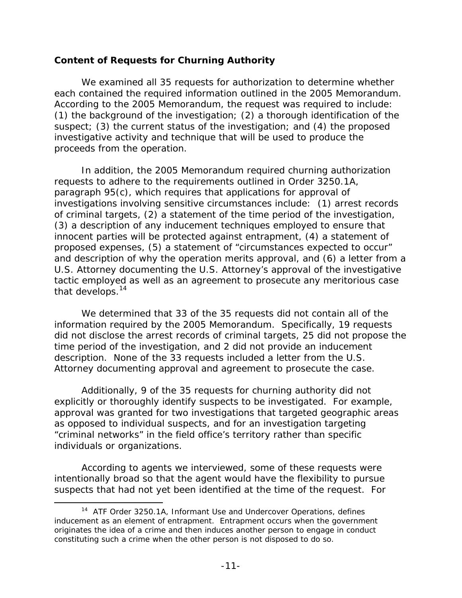## **Content of Requests for Churning Authority**

We examined all 35 requests for authorization to determine whether each contained the required information outlined in the 2005 Memorandum. According to the 2005 Memorandum, the request was required to include: (1) the background of the investigation; (2) a thorough identification of the suspect; (3) the current status of the investigation; and (4) the proposed investigative activity and technique that will be used to produce the proceeds from the operation.

In addition, the 2005 Memorandum required churning authorization requests to adhere to the requirements outlined in Order 3250.1A, paragraph 95(c), which requires that applications for approval of investigations involving sensitive circumstances include: (1) arrest records of criminal targets, (2) a statement of the time period of the investigation, (3) a description of any inducement techniques employed to ensure that innocent parties will be protected against entrapment, (4) a statement of proposed expenses, (5) a statement of "circumstances expected to occur" and description of why the operation merits approval, and (6) a letter from a U.S. Attorney documenting the U.S. Attorney's approval of the investigative tactic employed as well as an agreement to prosecute any meritorious case that develops.<sup>14</sup>

We determined that 33 of the 35 requests did not contain all of the information required by the 2005 Memorandum. Specifically, 19 requests did not disclose the arrest records of criminal targets, 25 did not propose the time period of the investigation, and 2 did not provide an inducement description. None of the 33 requests included a letter from the U.S. Attorney documenting approval and agreement to prosecute the case.

Additionally, 9 of the 35 requests for churning authority did not explicitly or thoroughly identify suspects to be investigated. For example, approval was granted for two investigations that targeted geographic areas as opposed to individual suspects, and for an investigation targeting "criminal networks" in the field office's territory rather than specific individuals or organizations.

According to agents we interviewed, some of these requests were intentionally broad so that the agent would have the flexibility to pursue suspects that had not yet been identified at the time of the request. For

<sup>&</sup>lt;sup>14</sup> ATF Order 3250.1A, Informant Use and Undercover Operations, defines inducement as an element of entrapment. Entrapment occurs when the government originates the idea of a crime and then induces another person to engage in conduct constituting such a crime when the other person is not disposed to do so.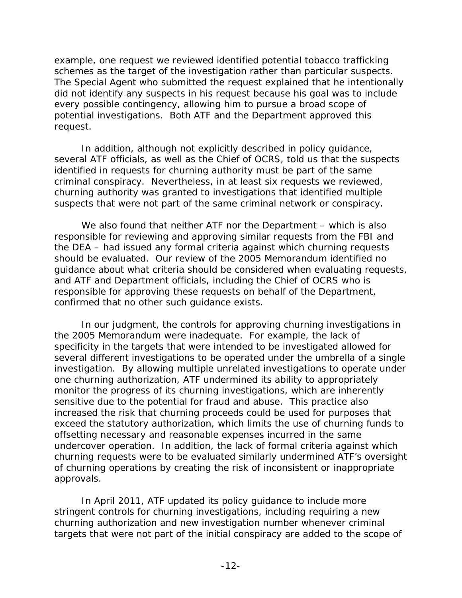example, one request we reviewed identified potential tobacco trafficking schemes as the target of the investigation rather than particular suspects. The Special Agent who submitted the request explained that he intentionally did not identify any suspects in his request because his goal was to include every possible contingency, allowing him to pursue a broad scope of potential investigations. Both ATF and the Department approved this request.

In addition, although not explicitly described in policy guidance, several ATF officials, as well as the Chief of OCRS, told us that the suspects identified in requests for churning authority must be part of the same criminal conspiracy. Nevertheless, in at least six requests we reviewed, churning authority was granted to investigations that identified multiple suspects that were not part of the same criminal network or conspiracy.

We also found that neither ATF nor the Department – which is also responsible for reviewing and approving similar requests from the FBI and the DEA – had issued any formal criteria against which churning requests should be evaluated. Our review of the 2005 Memorandum identified no guidance about what criteria should be considered when evaluating requests, and ATF and Department officials, including the Chief of OCRS who is responsible for approving these requests on behalf of the Department, confirmed that no other such guidance exists.

In our judgment, the controls for approving churning investigations in the 2005 Memorandum were inadequate. For example, the lack of specificity in the targets that were intended to be investigated allowed for several different investigations to be operated under the umbrella of a single investigation. By allowing multiple unrelated investigations to operate under one churning authorization, ATF undermined its ability to appropriately monitor the progress of its churning investigations, which are inherently sensitive due to the potential for fraud and abuse. This practice also increased the risk that churning proceeds could be used for purposes that exceed the statutory authorization, which limits the use of churning funds to offsetting necessary and reasonable expenses incurred in the same undercover operation. In addition, the lack of formal criteria against which churning requests were to be evaluated similarly undermined ATF's oversight of churning operations by creating the risk of inconsistent or inappropriate approvals.

In April 2011, ATF updated its policy guidance to include more stringent controls for churning investigations, including requiring a new churning authorization and new investigation number whenever criminal targets that were not part of the initial conspiracy are added to the scope of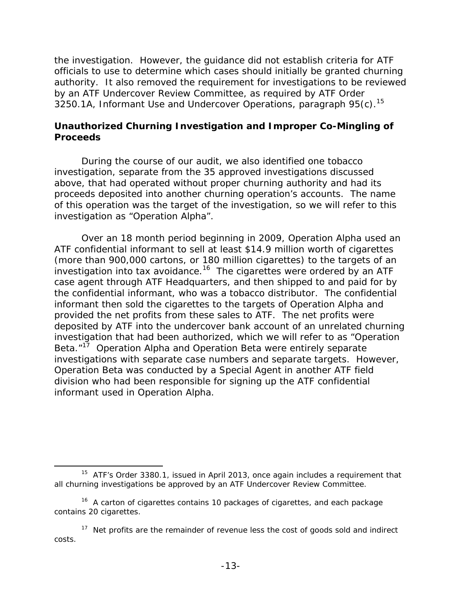the investigation. However, the guidance did not establish criteria for ATF officials to use to determine which cases should initially be granted churning authority. It also removed the requirement for investigations to be reviewed by an ATF Undercover Review Committee, as required by ATF Order 3250.1A, Informant Use and Undercover Operations, paragraph  $95(c)$ .<sup>15</sup>

## **Unauthorized Churning Investigation and Improper Co-Mingling of Proceeds**

During the course of our audit, we also identified one tobacco investigation, separate from the 35 approved investigations discussed above, that had operated without proper churning authority and had its proceeds deposited into another churning operation's accounts. The name of this operation was the target of the investigation, so we will refer to this investigation as "Operation Alpha".

Over an 18 month period beginning in 2009, Operation Alpha used an ATF confidential informant to sell at least \$14.9 million worth of cigarettes (more than 900,000 cartons, or 180 million cigarettes) to the targets of an investigation into tax avoidance.<sup>16</sup> The cigarettes were ordered by an ATF case agent through ATF Headquarters, and then shipped to and paid for by the confidential informant, who was a tobacco distributor. The confidential informant then sold the cigarettes to the targets of Operation Alpha and provided the net profits from these sales to ATF. The net profits were deposited by ATF into the undercover bank account of an unrelated churning investigation that had been authorized, which we will refer to as "Operation Beta."<sup>17</sup> Operation Alpha and Operation Beta were entirely separate investigations with separate case numbers and separate targets. However, Operation Beta was conducted by a Special Agent in another ATF field division who had been responsible for signing up the ATF confidential informant used in Operation Alpha.

<sup>&</sup>lt;sup>15</sup> ATF's Order 3380.1, issued in April 2013, once again includes a requirement that all churning investigations be approved by an ATF Undercover Review Committee.

<sup>&</sup>lt;sup>16</sup> A carton of cigarettes contains 10 packages of cigarettes, and each package contains 20 cigarettes.

 $17$  Net profits are the remainder of revenue less the cost of goods sold and indirect costs.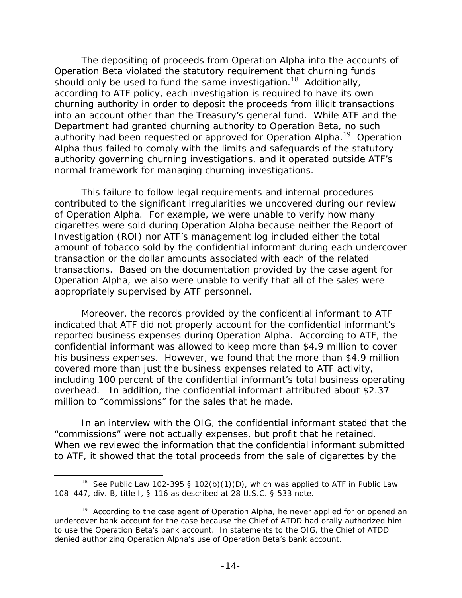The depositing of proceeds from Operation Alpha into the accounts of Operation Beta violated the statutory requirement that churning funds should only be used to fund the same investigation.<sup>18</sup> Additionally, according to ATF policy, each investigation is required to have its own churning authority in order to deposit the proceeds from illicit transactions into an account other than the Treasury's general fund. While ATF and the Department had granted churning authority to Operation Beta, no such authority had been requested or approved for Operation Alpha.<sup>19</sup> Operation Alpha thus failed to comply with the limits and safeguards of the statutory authority governing churning investigations, and it operated outside ATF's normal framework for managing churning investigations.

This failure to follow legal requirements and internal procedures contributed to the significant irregularities we uncovered during our review of Operation Alpha. For example, we were unable to verify how many cigarettes were sold during Operation Alpha because neither the Report of Investigation (ROI) nor ATF's management log included either the total amount of tobacco sold by the confidential informant during each undercover transaction or the dollar amounts associated with each of the related transactions. Based on the documentation provided by the case agent for Operation Alpha, we also were unable to verify that all of the sales were appropriately supervised by ATF personnel.

Moreover, the records provided by the confidential informant to ATF indicated that ATF did not properly account for the confidential informant's reported business expenses during Operation Alpha. According to ATF, the confidential informant was allowed to keep more than \$4.9 million to cover his business expenses. However, we found that the more than \$4.9 million covered more than just the business expenses related to ATF activity, including 100 percent of the confidential informant's total business operating overhead. In addition, the confidential informant attributed about \$2.37 million to "commissions" for the sales that he made.

In an interview with the OIG, the confidential informant stated that the "commissions" were not actually expenses, but profit that he retained. When we reviewed the information that the confidential informant submitted to ATF, it showed that the total proceeds from the sale of cigarettes by the

<sup>&</sup>lt;sup>18</sup> See Public Law 102-395 § 102(b)(1)(D), which was applied to ATF in Public Law 108–447, div. B, title I, § 116 as described at 28 U.S.C. § 533 note.

 to use the Operation Beta's bank account. In statements to the OIG, the Chief of ATDD <sup>19</sup> According to the case agent of Operation Alpha, he never applied for or opened an undercover bank account for the case because the Chief of ATDD had orally authorized him denied authorizing Operation Alpha's use of Operation Beta's bank account.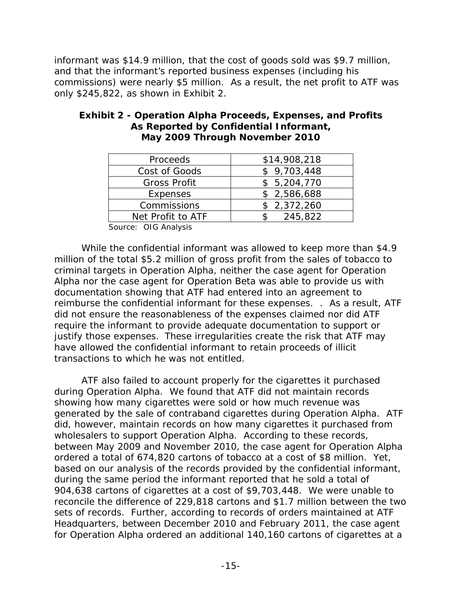informant was \$14.9 million, that the cost of goods sold was \$9.7 million, and that the informant's reported business expenses (including his commissions) were nearly \$5 million. As a result, the net profit to ATF was only \$245,822, as shown in Exhibit 2.

| Proceeds            | \$14,908,218 |
|---------------------|--------------|
| Cost of Goods       | \$9,703,448  |
| <b>Gross Profit</b> | \$5,204,770  |
| <b>Expenses</b>     | \$2,586,688  |
| Commissions         | \$2,372,260  |
| Net Profit to ATF   | 245,822      |

#### **Exhibit 2 - Operation Alpha Proceeds, Expenses, and Profits As Reported by Confidential Informant, May 2009 Through November 2010**

Source: OIG Analysis

While the confidential informant was allowed to keep more than \$4.9 million of the total \$5.2 million of gross profit from the sales of tobacco to criminal targets in Operation Alpha, neither the case agent for Operation Alpha nor the case agent for Operation Beta was able to provide us with documentation showing that ATF had entered into an agreement to reimburse the confidential informant for these expenses. . As a result, ATF did not ensure the reasonableness of the expenses claimed nor did ATF require the informant to provide adequate documentation to support or justify those expenses. These irregularities create the risk that ATF may have allowed the confidential informant to retain proceeds of illicit transactions to which he was not entitled.

ATF also failed to account properly for the cigarettes it purchased during Operation Alpha. We found that ATF did not maintain records showing how many cigarettes were sold or how much revenue was generated by the sale of contraband cigarettes during Operation Alpha. ATF did, however, maintain records on how many cigarettes it purchased from wholesalers to support Operation Alpha. According to these records, between May 2009 and November 2010, the case agent for Operation Alpha ordered a total of 674,820 cartons of tobacco at a cost of \$8 million. Yet, based on our analysis of the records provided by the confidential informant, during the same period the informant reported that he sold a total of 904,638 cartons of cigarettes at a cost of \$9,703,448. We were unable to reconcile the difference of 229,818 cartons and \$1.7 million between the two sets of records. Further, according to records of orders maintained at ATF Headquarters, between December 2010 and February 2011, the case agent for Operation Alpha ordered an additional 140,160 cartons of cigarettes at a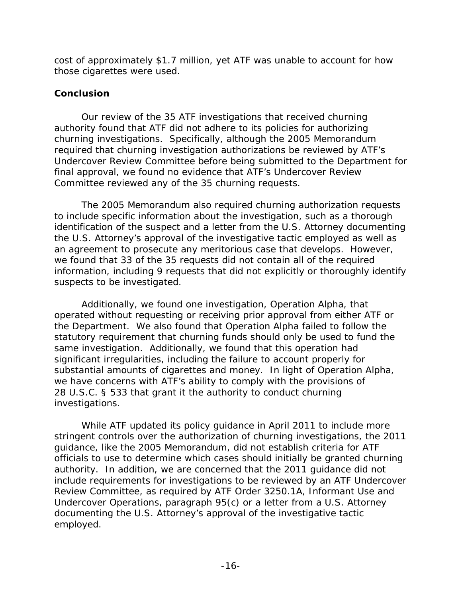cost of approximately \$1.7 million, yet ATF was unable to account for how those cigarettes were used.

# **Conclusion**

Our review of the 35 ATF investigations that received churning authority found that ATF did not adhere to its policies for authorizing churning investigations. Specifically, although the 2005 Memorandum required that churning investigation authorizations be reviewed by ATF's Undercover Review Committee before being submitted to the Department for final approval, we found no evidence that ATF's Undercover Review Committee reviewed any of the 35 churning requests.

The 2005 Memorandum also required churning authorization requests to include specific information about the investigation, such as a thorough identification of the suspect and a letter from the U.S. Attorney documenting the U.S. Attorney's approval of the investigative tactic employed as well as an agreement to prosecute any meritorious case that develops. However, we found that 33 of the 35 requests did not contain all of the required information, including 9 requests that did not explicitly or thoroughly identify suspects to be investigated.

Additionally, we found one investigation, Operation Alpha, that operated without requesting or receiving prior approval from either ATF or the Department. We also found that Operation Alpha failed to follow the statutory requirement that churning funds should only be used to fund the same investigation. Additionally, we found that this operation had significant irregularities, including the failure to account properly for substantial amounts of cigarettes and money. In light of Operation Alpha, we have concerns with ATF's ability to comply with the provisions of 28 U.S.C. § 533 that grant it the authority to conduct churning investigations.

While ATF updated its policy guidance in April 2011 to include more stringent controls over the authorization of churning investigations, the 2011 guidance, like the 2005 Memorandum, did not establish criteria for ATF officials to use to determine which cases should initially be granted churning authority. In addition, we are concerned that the 2011 guidance did not include requirements for investigations to be reviewed by an ATF Undercover Review Committee, as required by ATF Order 3250.1A, Informant Use and Undercover Operations, paragraph 95(c) or a letter from a U.S. Attorney documenting the U.S. Attorney's approval of the investigative tactic employed.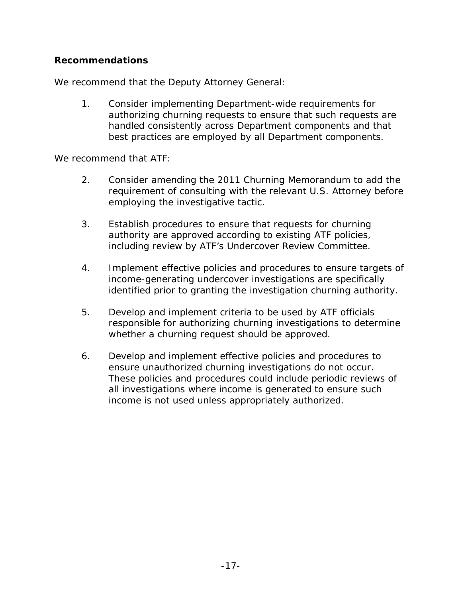# **Recommendations**

We recommend that the Deputy Attorney General:

1. Consider implementing Department-wide requirements for authorizing churning requests to ensure that such requests are handled consistently across Department components and that best practices are employed by all Department components.

We recommend that ATF:

- 2. Consider amending the 2011 Churning Memorandum to add the requirement of consulting with the relevant U.S. Attorney before employing the investigative tactic.
- 3. Establish procedures to ensure that requests for churning authority are approved according to existing ATF policies, including review by ATF's Undercover Review Committee.
- 4. Implement effective policies and procedures to ensure targets of income-generating undercover investigations are specifically identified prior to granting the investigation churning authority.
- 5. Develop and implement criteria to be used by ATF officials responsible for authorizing churning investigations to determine whether a churning request should be approved.
- 6. Develop and implement effective policies and procedures to ensure unauthorized churning investigations do not occur. These policies and procedures could include periodic reviews of all investigations where income is generated to ensure such income is not used unless appropriately authorized.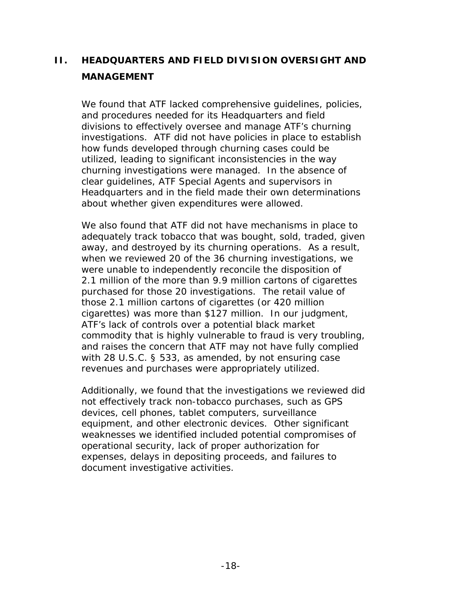# **II. HEADQUARTERS AND FIELD DIVISION OVERSIGHT AND MANAGEMENT**

We found that ATF lacked comprehensive quidelines, policies, and procedures needed for its Headquarters and field divisions to effectively oversee and manage ATF's churning investigations. ATF did not have policies in place to establish how funds developed through churning cases could be utilized, leading to significant inconsistencies in the way churning investigations were managed. In the absence of clear guidelines, ATF Special Agents and supervisors in Headquarters and in the field made their own determinations about whether given expenditures were allowed.

We also found that ATF did not have mechanisms in place to adequately track tobacco that was bought, sold, traded, given away, and destroyed by its churning operations. As a result, when we reviewed 20 of the 36 churning investigations, we were unable to independently reconcile the disposition of 2.1 million of the more than 9.9 million cartons of cigarettes purchased for those 20 investigations. The retail value of those 2.1 million cartons of cigarettes (or 420 million cigarettes) was more than \$127 million. In our judgment, ATF's lack of controls over a potential black market commodity that is highly vulnerable to fraud is very troubling, and raises the concern that ATF may not have fully complied with 28 U.S.C. § 533, as amended, by not ensuring case revenues and purchases were appropriately utilized.

Additionally, we found that the investigations we reviewed did not effectively track non-tobacco purchases, such as GPS devices, cell phones, tablet computers, surveillance equipment, and other electronic devices. Other significant weaknesses we identified included potential compromises of operational security, lack of proper authorization for expenses, delays in depositing proceeds, and failures to document investigative activities.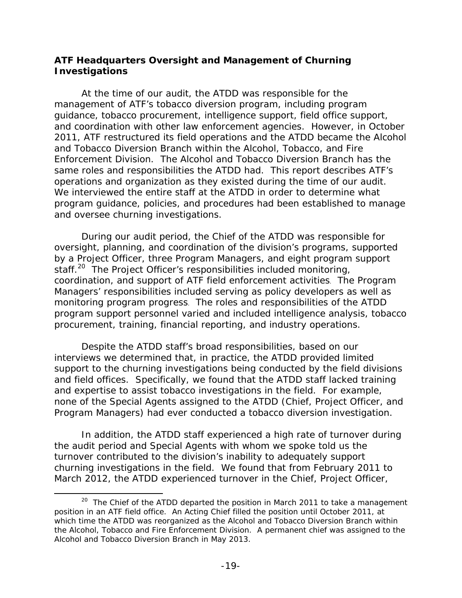## **ATF Headquarters Oversight and Management of Churning Investigations**

At the time of our audit, the ATDD was responsible for the management of ATF's tobacco diversion program, including program guidance, tobacco procurement, intelligence support, field office support, and coordination with other law enforcement agencies. However, in October 2011, ATF restructured its field operations and the ATDD became the Alcohol and Tobacco Diversion Branch within the Alcohol, Tobacco, and Fire Enforcement Division. The Alcohol and Tobacco Diversion Branch has the same roles and responsibilities the ATDD had. This report describes ATF's operations and organization as they existed during the time of our audit. We interviewed the entire staff at the ATDD in order to determine what program guidance, policies, and procedures had been established to manage and oversee churning investigations.

During our audit period, the Chief of the ATDD was responsible for oversight, planning, and coordination of the division's programs, supported by a Project Officer, three Program Managers, and eight program support staff.<sup>20</sup> The Project Officer's responsibilities included monitoring, coordination, and support of ATF field enforcement activities. The Program Managers' responsibilities included serving as policy developers as well as monitoring program progress. The roles and responsibilities of the ATDD program support personnel varied and included intelligence analysis, tobacco procurement, training, financial reporting, and industry operations.

Despite the ATDD staff's broad responsibilities, based on our interviews we determined that, in practice, the ATDD provided limited support to the churning investigations being conducted by the field divisions and field offices. Specifically, we found that the ATDD staff lacked training and expertise to assist tobacco investigations in the field. For example, none of the Special Agents assigned to the ATDD (Chief, Project Officer, and Program Managers) had ever conducted a tobacco diversion investigation.

In addition, the ATDD staff experienced a high rate of turnover during the audit period and Special Agents with whom we spoke told us the turnover contributed to the division's inability to adequately support churning investigations in the field. We found that from February 2011 to March 2012, the ATDD experienced turnover in the Chief, Project Officer,

1

 $20$  The Chief of the ATDD departed the position in March 2011 to take a management position in an ATF field office. An Acting Chief filled the position until October 2011, at which time the ATDD was reorganized as the Alcohol and Tobacco Diversion Branch within the Alcohol, Tobacco and Fire Enforcement Division. A permanent chief was assigned to the Alcohol and Tobacco Diversion Branch in May 2013.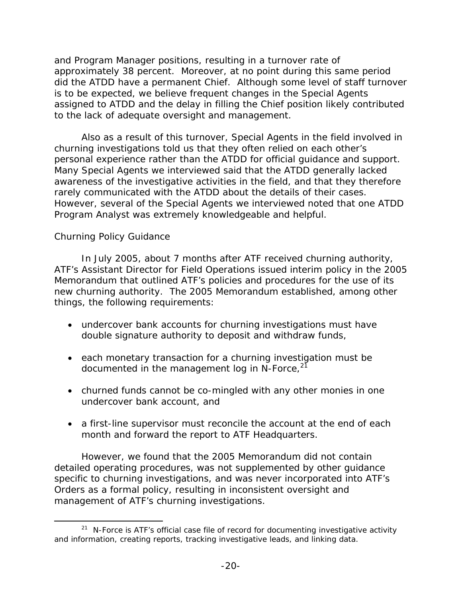and Program Manager positions, resulting in a turnover rate of approximately 38 percent. Moreover, at no point during this same period did the ATDD have a permanent Chief. Although some level of staff turnover is to be expected, we believe frequent changes in the Special Agents assigned to ATDD and the delay in filling the Chief position likely contributed to the lack of adequate oversight and management.

Also as a result of this turnover, Special Agents in the field involved in churning investigations told us that they often relied on each other's personal experience rather than the ATDD for official guidance and support. Many Special Agents we interviewed said that the ATDD generally lacked awareness of the investigative activities in the field, and that they therefore rarely communicated with the ATDD about the details of their cases. However, several of the Special Agents we interviewed noted that one ATDD Program Analyst was extremely knowledgeable and helpful.

## *Churning Policy Guidance*

<u>.</u>

In July 2005, about 7 months after ATF received churning authority, ATF's Assistant Director for Field Operations issued interim policy in the 2005 Memorandum that outlined ATF's policies and procedures for the use of its new churning authority. The 2005 Memorandum established, among other things, the following requirements:

- undercover bank accounts for churning investigations must have double signature authority to deposit and withdraw funds,
- each monetary transaction for a churning investigation must be documented in the management log in N-Force, $2^{\overline{1}}$
- churned funds cannot be co-mingled with any other monies in one undercover bank account, and
- a first-line supervisor must reconcile the account at the end of each month and forward the report to ATF Headquarters.

However, we found that the 2005 Memorandum did not contain detailed operating procedures, was not supplemented by other guidance specific to churning investigations, and was never incorporated into ATF's Orders as a formal policy, resulting in inconsistent oversight and management of ATF's churning investigations.

 $21$  N-Force is ATF's official case file of record for documenting investigative activity and information, creating reports, tracking investigative leads, and linking data.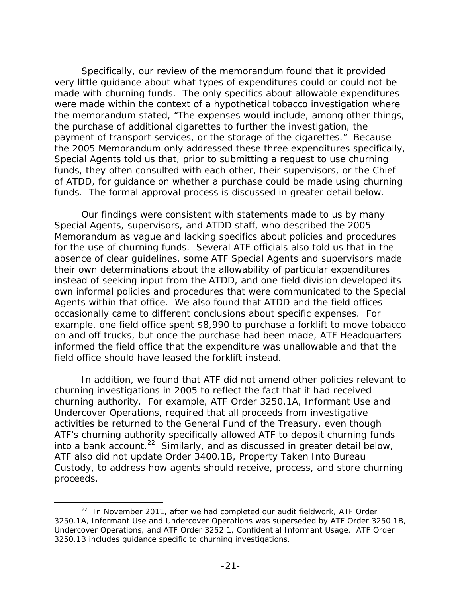Specifically, our review of the memorandum found that it provided very little guidance about what types of expenditures could or could not be made with churning funds. The only specifics about allowable expenditures were made within the context of a hypothetical tobacco investigation where the memorandum stated, "The expenses would include, among other things, the purchase of additional cigarettes to further the investigation, the payment of transport services, or the storage of the cigarettes." Because the 2005 Memorandum only addressed these three expenditures specifically, Special Agents told us that, prior to submitting a request to use churning funds, they often consulted with each other, their supervisors, or the Chief of ATDD, for guidance on whether a purchase could be made using churning funds. The formal approval process is discussed in greater detail below.

Our findings were consistent with statements made to us by many Special Agents, supervisors, and ATDD staff, who described the 2005 Memorandum as vague and lacking specifics about policies and procedures for the use of churning funds. Several ATF officials also told us that in the absence of clear guidelines, some ATF Special Agents and supervisors made their own determinations about the allowability of particular expenditures instead of seeking input from the ATDD, and one field division developed its own informal policies and procedures that were communicated to the Special Agents within that office. We also found that ATDD and the field offices occasionally came to different conclusions about specific expenses. For example, one field office spent \$8,990 to purchase a forklift to move tobacco on and off trucks, but once the purchase had been made, ATF Headquarters informed the field office that the expenditure was unallowable and that the field office should have leased the forklift instead.

In addition, we found that ATF did not amend other policies relevant to churning investigations in 2005 to reflect the fact that it had received churning authority. For example, ATF Order 3250.1A, Informant Use and Undercover Operations, required that all proceeds from investigative activities be returned to the General Fund of the Treasury, even though ATF's churning authority specifically allowed ATF to deposit churning funds into a bank account.<sup>22</sup> Similarly, and as discussed in greater detail below, ATF also did not update Order 3400.1B, Property Taken Into Bureau Custody, to address how agents should receive, process, and store churning proceeds.

 $22$  In November 2011, after we had completed our audit fieldwork, ATF Order 3250.1A, Informant Use and Undercover Operations was superseded by ATF Order 3250.1B, Undercover Operations, and ATF Order 3252.1, Confidential Informant Usage. ATF Order 3250.1B includes guidance specific to churning investigations.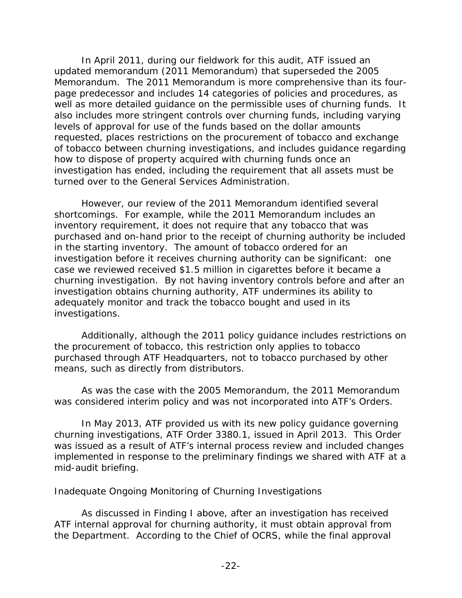In April 2011, during our fieldwork for this audit, ATF issued an updated memorandum (2011 Memorandum) that superseded the 2005 Memorandum. The 2011 Memorandum is more comprehensive than its fourpage predecessor and includes 14 categories of policies and procedures, as well as more detailed guidance on the permissible uses of churning funds. It also includes more stringent controls over churning funds, including varying levels of approval for use of the funds based on the dollar amounts requested, places restrictions on the procurement of tobacco and exchange of tobacco between churning investigations, and includes guidance regarding how to dispose of property acquired with churning funds once an investigation has ended, including the requirement that all assets must be turned over to the General Services Administration.

However, our review of the 2011 Memorandum identified several shortcomings. For example, while the 2011 Memorandum includes an inventory requirement, it does not require that any tobacco that was purchased and on-hand prior to the receipt of churning authority be included in the starting inventory. The amount of tobacco ordered for an investigation before it receives churning authority can be significant: one case we reviewed received \$1.5 million in cigarettes before it became a churning investigation. By not having inventory controls before and after an investigation obtains churning authority, ATF undermines its ability to adequately monitor and track the tobacco bought and used in its investigations.

Additionally, although the 2011 policy guidance includes restrictions on the procurement of tobacco, this restriction only applies to tobacco purchased through ATF Headquarters, not to tobacco purchased by other means, such as directly from distributors.

As was the case with the 2005 Memorandum, the 2011 Memorandum was considered interim policy and was not incorporated into ATF's Orders.

In May 2013, ATF provided us with its new policy guidance governing churning investigations, ATF Order 3380.1, issued in April 2013. This Order was issued as a result of ATF's internal process review and included changes implemented in response to the preliminary findings we shared with ATF at a mid-audit briefing.

## *Inadequate Ongoing Monitoring of Churning Investigations*

As discussed in Finding I above, after an investigation has received ATF internal approval for churning authority, it must obtain approval from the Department. According to the Chief of OCRS, while the final approval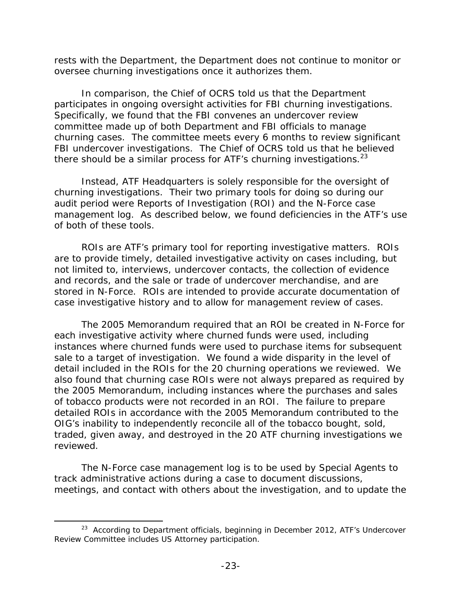rests with the Department, the Department does not continue to monitor or oversee churning investigations once it authorizes them.

In comparison, the Chief of OCRS told us that the Department participates in ongoing oversight activities for FBI churning investigations. Specifically, we found that the FBI convenes an undercover review committee made up of both Department and FBI officials to manage churning cases. The committee meets every 6 months to review significant FBI undercover investigations. The Chief of OCRS told us that he believed there should be a similar process for ATF's churning investigations. $^{23}$ 

Instead, ATF Headquarters is solely responsible for the oversight of churning investigations. Their two primary tools for doing so during our audit period were Reports of Investigation (ROI) and the N-Force case management log. As described below, we found deficiencies in the ATF's use of both of these tools.

ROIs are ATF's primary tool for reporting investigative matters. ROIs are to provide timely, detailed investigative activity on cases including, but not limited to, interviews, undercover contacts, the collection of evidence and records, and the sale or trade of undercover merchandise, and are stored in N-Force. ROIs are intended to provide accurate documentation of case investigative history and to allow for management review of cases.

The 2005 Memorandum required that an ROI be created in N-Force for each investigative activity where churned funds were used, including instances where churned funds were used to purchase items for subsequent sale to a target of investigation. We found a wide disparity in the level of detail included in the ROIs for the 20 churning operations we reviewed. We also found that churning case ROIs were not always prepared as required by the 2005 Memorandum, including instances where the purchases and sales of tobacco products were not recorded in an ROI. The failure to prepare detailed ROIs in accordance with the 2005 Memorandum contributed to the OIG's inability to independently reconcile all of the tobacco bought, sold, traded, given away, and destroyed in the 20 ATF churning investigations we reviewed.

The N-Force case management log is to be used by Special Agents to track administrative actions during a case to document discussions, meetings, and contact with others about the investigation, and to update the

<sup>&</sup>lt;sup>23</sup> According to Department officials, beginning in December 2012, ATF's Undercover Review Committee includes US Attorney participation.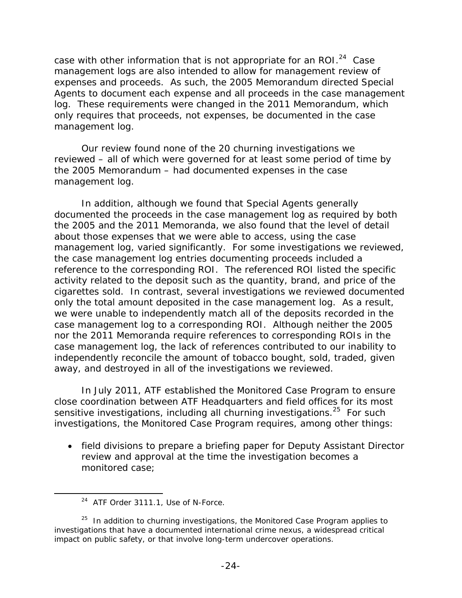case with other information that is not appropriate for an ROI.<sup>24</sup> Case management logs are also intended to allow for management review of expenses and proceeds. As such, the 2005 Memorandum directed Special Agents to document each expense and all proceeds in the case management log. These requirements were changed in the 2011 Memorandum, which only requires that proceeds, not expenses, be documented in the case management log.

Our review found none of the 20 churning investigations we reviewed – all of which were governed for at least some period of time by the 2005 Memorandum – had documented expenses in the case management log.

In addition, although we found that Special Agents generally documented the proceeds in the case management log as required by both the 2005 and the 2011 Memoranda, we also found that the level of detail about those expenses that we were able to access, using the case management log, varied significantly. For some investigations we reviewed, the case management log entries documenting proceeds included a reference to the corresponding ROI. The referenced ROI listed the specific activity related to the deposit such as the quantity, brand, and price of the cigarettes sold. In contrast, several investigations we reviewed documented only the total amount deposited in the case management log. As a result, we were unable to independently match all of the deposits recorded in the case management log to a corresponding ROI. Although neither the 2005 nor the 2011 Memoranda require references to corresponding ROIs in the case management log, the lack of references contributed to our inability to independently reconcile the amount of tobacco bought, sold, traded, given away, and destroyed in all of the investigations we reviewed.

In July 2011, ATF established the Monitored Case Program to ensure close coordination between ATF Headquarters and field offices for its most sensitive investigations, including all churning investigations.<sup>25</sup> For such investigations, the Monitored Case Program requires, among other things:

 field divisions to prepare a briefing paper for Deputy Assistant Director review and approval at the time the investigation becomes a monitored case;

<sup>24</sup> ATF Order 3111.1, *Use of N-Force.* 

 $25$  In addition to churning investigations, the Monitored Case Program applies to investigations that have a documented international crime nexus, a widespread critical impact on public safety, or that involve long-term undercover operations.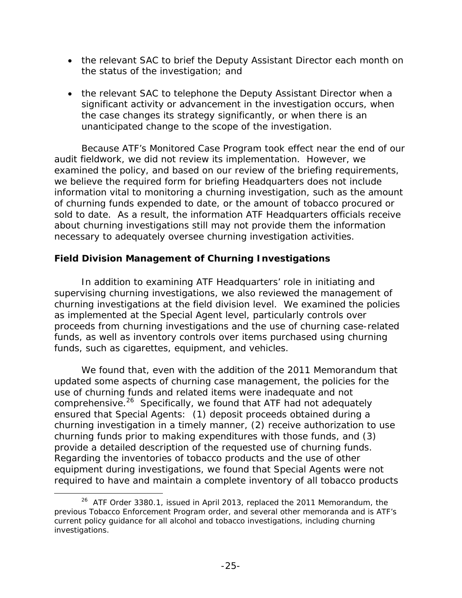- the relevant SAC to brief the Deputy Assistant Director each month on the status of the investigation; and
- the relevant SAC to telephone the Deputy Assistant Director when a significant activity or advancement in the investigation occurs, when the case changes its strategy significantly, or when there is an unanticipated change to the scope of the investigation.

Because ATF's Monitored Case Program took effect near the end of our audit fieldwork, we did not review its implementation. However, we examined the policy, and based on our review of the briefing requirements, we believe the required form for briefing Headquarters does not include information vital to monitoring a churning investigation, such as the amount of churning funds expended to date, or the amount of tobacco procured or sold to date. As a result, the information ATF Headquarters officials receive about churning investigations still may not provide them the information necessary to adequately oversee churning investigation activities.

## **Field Division Management of Churning Investigations**

In addition to examining ATF Headquarters' role in initiating and supervising churning investigations, we also reviewed the management of churning investigations at the field division level. We examined the policies as implemented at the Special Agent level, particularly controls over proceeds from churning investigations and the use of churning case-related funds, as well as inventory controls over items purchased using churning funds, such as cigarettes, equipment, and vehicles.

We found that, even with the addition of the 2011 Memorandum that updated some aspects of churning case management, the policies for the use of churning funds and related items were inadequate and not comprehensive.<sup>26</sup> Specifically, we found that ATF had not adequately ensured that Special Agents: (1) deposit proceeds obtained during a churning investigation in a timely manner, (2) receive authorization to use churning funds prior to making expenditures with those funds, and (3) provide a detailed description of the requested use of churning funds. Regarding the inventories of tobacco products and the use of other equipment during investigations, we found that Special Agents were not required to have and maintain a complete inventory of all tobacco products

 $\overline{a}$ <sup>26</sup> ATF Order 3380.1, issued in April 2013, replaced the 2011 Memorandum, the previous Tobacco Enforcement Program order, and several other memoranda and is ATF's current policy guidance for all alcohol and tobacco investigations, including churning investigations.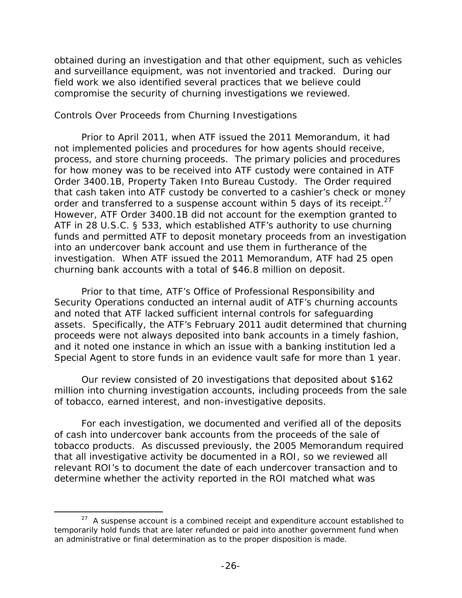obtained during an investigation and that other equipment, such as vehicles and surveillance equipment, was not inventoried and tracked. During our field work we also identified several practices that we believe could compromise the security of churning investigations we reviewed.

#### *Controls Over Proceeds from Churning Investigations*

order and transferred to a suspense account within 5 days of its receipt.<sup>27</sup> Prior to April 2011, when ATF issued the 2011 Memorandum, it had not implemented policies and procedures for how agents should receive, process, and store churning proceeds. The primary policies and procedures for how money was to be received into ATF custody were contained in ATF Order 3400.1B, Property Taken Into Bureau Custody. The Order required that cash taken into ATF custody be converted to a cashier's check or money However, ATF Order 3400.1B did not account for the exemption granted to ATF in 28 U.S.C. § 533, which established ATF's authority to use churning funds and permitted ATF to deposit monetary proceeds from an investigation into an undercover bank account and use them in furtherance of the investigation. When ATF issued the 2011 Memorandum, ATF had 25 open churning bank accounts with a total of \$46.8 million on deposit.

Prior to that time, ATF's Office of Professional Responsibility and Security Operations conducted an internal audit of ATF's churning accounts and noted that ATF lacked sufficient internal controls for safeguarding assets. Specifically, the ATF's February 2011 audit determined that churning proceeds were not always deposited into bank accounts in a timely fashion, and it noted one instance in which an issue with a banking institution led a Special Agent to store funds in an evidence vault safe for more than 1 year.

Our review consisted of 20 investigations that deposited about \$162 million into churning investigation accounts, including proceeds from the sale of tobacco, earned interest, and non-investigative deposits.

For each investigation, we documented and verified all of the deposits of cash into undercover bank accounts from the proceeds of the sale of tobacco products. As discussed previously, the 2005 Memorandum required that all investigative activity be documented in a ROI, so we reviewed all relevant ROI's to document the date of each undercover transaction and to determine whether the activity reported in the ROI matched what was

 temporarily hold funds that are later refunded or paid into another government fund when  $27$  A suspense account is a combined receipt and expenditure account established to an administrative or final determination as to the proper disposition is made.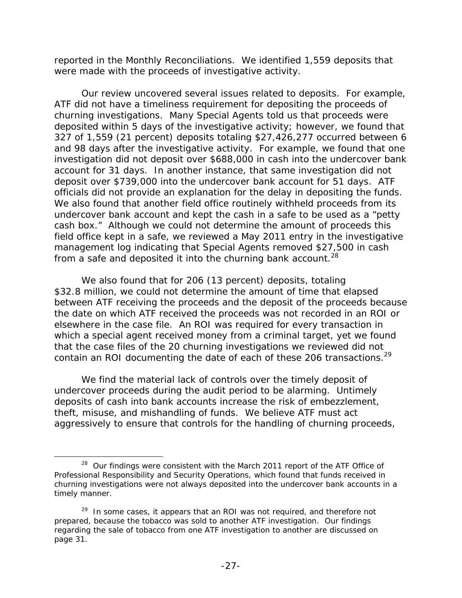reported in the Monthly Reconciliations. We identified 1,559 deposits that were made with the proceeds of investigative activity.

officials did not provide an explanation for the delay in depositing the funds. Our review uncovered several issues related to deposits. For example, ATF did not have a timeliness requirement for depositing the proceeds of churning investigations. Many Special Agents told us that proceeds were deposited within 5 days of the investigative activity; however, we found that 327 of 1,559 (21 percent) deposits totaling \$27,426,277 occurred between 6 and 98 days after the investigative activity. For example, we found that one investigation did not deposit over \$688,000 in cash into the undercover bank account for 31 days. In another instance, that same investigation did not deposit over \$739,000 into the undercover bank account for 51 days. ATF We also found that another field office routinely withheld proceeds from its undercover bank account and kept the cash in a safe to be used as a "petty cash box." Although we could not determine the amount of proceeds this field office kept in a safe, we reviewed a May 2011 entry in the investigative management log indicating that Special Agents removed \$27,500 in cash from a safe and deposited it into the churning bank account.<sup>28</sup>

We also found that for 206 (13 percent) deposits, totaling \$32.8 million, we could not determine the amount of time that elapsed between ATF receiving the proceeds and the deposit of the proceeds because the date on which ATF received the proceeds was not recorded in an ROI or elsewhere in the case file. An ROI was required for every transaction in which a special agent received money from a criminal target, yet we found that the case files of the 20 churning investigations we reviewed did not contain an ROI documenting the date of each of these 206 transactions.<sup>29</sup>

We find the material lack of controls over the timely deposit of undercover proceeds during the audit period to be alarming. Untimely deposits of cash into bank accounts increase the risk of embezzlement, theft, misuse, and mishandling of funds. We believe ATF must act aggressively to ensure that controls for the handling of churning proceeds,

<sup>&</sup>lt;sup>28</sup> Our findings were consistent with the March 2011 report of the ATF Office of Professional Responsibility and Security Operations, which found that funds received in churning investigations were not always deposited into the undercover bank accounts in a timely manner.

<sup>&</sup>lt;sup>29</sup> In some cases, it appears that an ROI was not required, and therefore not prepared, because the tobacco was sold to another ATF investigation. Our findings regarding the sale of tobacco from one ATF investigation to another are discussed on page 31.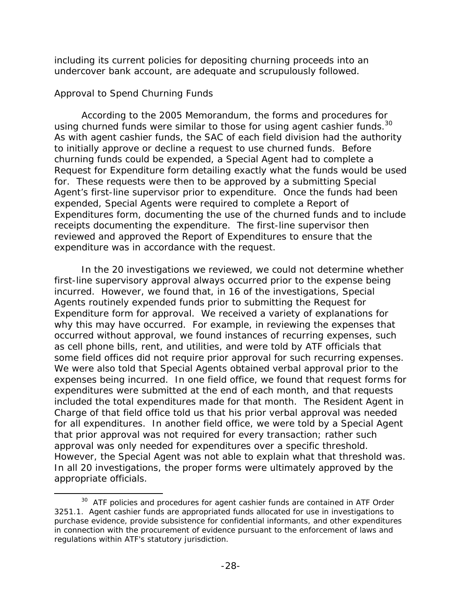including its current policies for depositing churning proceeds into an undercover bank account, are adequate and scrupulously followed.

## *Approval to Spend Churning Funds*

 $\overline{a}$ 

using churned funds were similar to those for using agent cashier funds.<sup>30</sup> According to the 2005 Memorandum, the forms and procedures for As with agent cashier funds, the SAC of each field division had the authority to initially approve or decline a request to use churned funds. Before churning funds could be expended, a Special Agent had to complete a *Request for Expenditure* form detailing exactly what the funds would be used for. These requests were then to be approved by a submitting Special Agent's first-line supervisor prior to expenditure. Once the funds had been expended, Special Agents were required to complete a *Report of Expenditures* form, documenting the use of the churned funds and to include receipts documenting the expenditure. The first-line supervisor then reviewed and approved the *Report of Expenditures* to ensure that the expenditure was in accordance with the request*.* 

In the 20 investigations we reviewed, we could not determine whether first-line supervisory approval always occurred prior to the expense being incurred. However, we found that, in 16 of the investigations, Special Agents routinely expended funds prior to submitting the *Request for Expenditure* form for approval. We received a variety of explanations for why this may have occurred. For example, in reviewing the expenses that occurred without approval, we found instances of recurring expenses, such as cell phone bills, rent, and utilities, and were told by ATF officials that some field offices did not require prior approval for such recurring expenses. We were also told that Special Agents obtained verbal approval prior to the expenses being incurred. In one field office, we found that request forms for expenditures were submitted at the end of each month, and that requests included the total expenditures made for that month. The Resident Agent in Charge of that field office told us that his prior verbal approval was needed for all expenditures. In another field office, we were told by a Special Agent that prior approval was not required for every transaction; rather such approval was only needed for expenditures over a specific threshold. However, the Special Agent was not able to explain what that threshold was. In all 20 investigations, the proper forms were ultimately approved by the appropriate officials.

<sup>&</sup>lt;sup>30</sup> ATF policies and procedures for agent cashier funds are contained in ATF Order 3251.1. Agent cashier funds are appropriated funds allocated for use in investigations to purchase evidence, provide subsistence for confidential informants, and other expenditures in connection with the procurement of evidence pursuant to the enforcement of laws and regulations within ATF's statutory jurisdiction.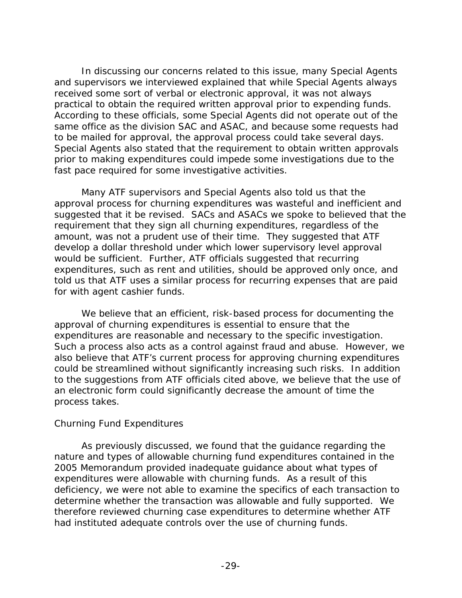In discussing our concerns related to this issue, many Special Agents and supervisors we interviewed explained that while Special Agents always received some sort of verbal or electronic approval, it was not always practical to obtain the required written approval prior to expending funds. According to these officials, some Special Agents did not operate out of the same office as the division SAC and ASAC, and because some requests had to be mailed for approval, the approval process could take several days. Special Agents also stated that the requirement to obtain written approvals prior to making expenditures could impede some investigations due to the fast pace required for some investigative activities.

Many ATF supervisors and Special Agents also told us that the approval process for churning expenditures was wasteful and inefficient and suggested that it be revised. SACs and ASACs we spoke to believed that the requirement that they sign all churning expenditures, regardless of the amount, was not a prudent use of their time. They suggested that ATF develop a dollar threshold under which lower supervisory level approval would be sufficient. Further, ATF officials suggested that recurring expenditures, such as rent and utilities, should be approved only once, and told us that ATF uses a similar process for recurring expenses that are paid for with agent cashier funds.

We believe that an efficient, risk-based process for documenting the approval of churning expenditures is essential to ensure that the expenditures are reasonable and necessary to the specific investigation. Such a process also acts as a control against fraud and abuse. However, we also believe that ATF's current process for approving churning expenditures could be streamlined without significantly increasing such risks. In addition to the suggestions from ATF officials cited above, we believe that the use of an electronic form could significantly decrease the amount of time the process takes.

### *Churning Fund Expenditures*

As previously discussed, we found that the guidance regarding the nature and types of allowable churning fund expenditures contained in the 2005 Memorandum provided inadequate guidance about what types of expenditures were allowable with churning funds. As a result of this deficiency, we were not able to examine the specifics of each transaction to determine whether the transaction was allowable and fully supported. We therefore reviewed churning case expenditures to determine whether ATF had instituted adequate controls over the use of churning funds.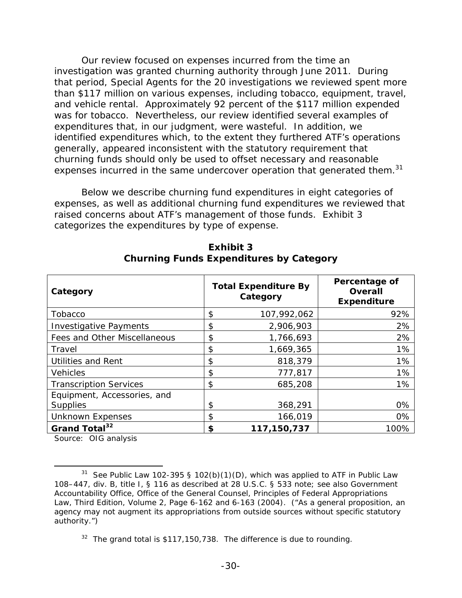Our review focused on expenses incurred from the time an investigation was granted churning authority through June 2011. During that period, Special Agents for the 20 investigations we reviewed spent more than \$117 million on various expenses, including tobacco, equipment, travel, and vehicle rental. Approximately 92 percent of the \$117 million expended was for tobacco. Nevertheless, our review identified several examples of expenditures that, in our judgment, were wasteful. In addition, we identified expenditures which, to the extent they furthered ATF's operations generally, appeared inconsistent with the statutory requirement that churning funds should only be used to offset necessary and reasonable expenses incurred in the same undercover operation that generated them.<sup>31</sup>

Below we describe churning fund expenditures in eight categories of expenses, as well as additional churning fund expenditures we reviewed that raised concerns about ATF's management of those funds. Exhibit 3 categorizes the expenditures by type of expense.

| Category                      | <b>Total Expenditure By</b><br>Category | Percentage of<br><b>Overall</b><br><b>Expenditure</b> |
|-------------------------------|-----------------------------------------|-------------------------------------------------------|
| Tobacco                       | \$<br>107,992,062                       | 92%                                                   |
| <b>Investigative Payments</b> | \$<br>2,906,903                         | 2%                                                    |
| Fees and Other Miscellaneous  | \$<br>1,766,693                         | 2%                                                    |
| Travel                        | \$<br>1,669,365                         | 1%                                                    |
| Utilities and Rent            | \$<br>818,379                           | 1%                                                    |
| <b>Vehicles</b>               | \$<br>777,817                           | 1%                                                    |
| <b>Transcription Services</b> | \$<br>685,208                           | 1%                                                    |
| Equipment, Accessories, and   |                                         |                                                       |
| <b>Supplies</b>               | \$<br>368,291                           | 0%                                                    |
| <b>Unknown Expenses</b>       | \$<br>166,019                           | 0%                                                    |
| Grand Total <sup>32</sup>     | \$<br>117,150,737                       | 100%                                                  |

**Exhibit 3 Churning Funds Expenditures by Category**

Source: OIG analysis

 $\overline{a}$ 

<sup>&</sup>lt;sup>31</sup> See Public Law 102-395 § 102(b)(1)(D), which was applied to ATF in Public Law 108–447, div. B, title I, § 116 as described at 28 U.S.C. § 533 note; see also Government Accountability Office, Office of the General Counsel, Principles of Federal Appropriations Law, Third Edition, Volume 2, Page 6-162 and 6-163 (2004). ("As a general proposition, an agency may not augment its appropriations from outside sources without specific statutory authority.")

 $32$  The grand total is \$117,150,738. The difference is due to rounding.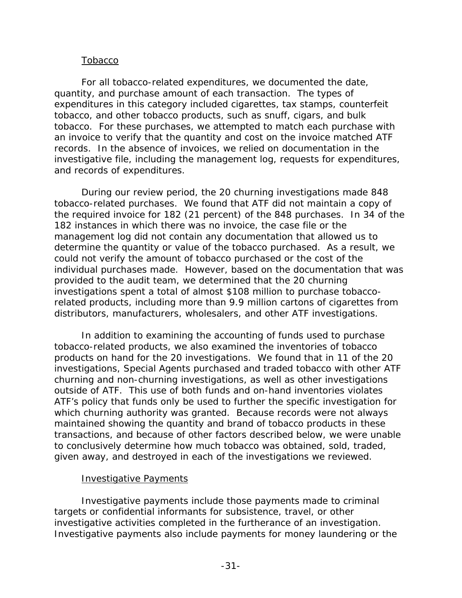## Tobacco

For all tobacco-related expenditures, we documented the date, quantity, and purchase amount of each transaction. The types of expenditures in this category included cigarettes, tax stamps, counterfeit tobacco, and other tobacco products, such as snuff, cigars, and bulk tobacco. For these purchases, we attempted to match each purchase with an invoice to verify that the quantity and cost on the invoice matched ATF records. In the absence of invoices, we relied on documentation in the investigative file, including the management log, requests for expenditures, and records of expenditures.

During our review period, the 20 churning investigations made 848 tobacco-related purchases. We found that ATF did not maintain a copy of the required invoice for 182 (21 percent) of the 848 purchases. In 34 of the 182 instances in which there was no invoice, the case file or the management log did not contain any documentation that allowed us to determine the quantity or value of the tobacco purchased. As a result, we could not verify the amount of tobacco purchased or the cost of the individual purchases made. However, based on the documentation that was provided to the audit team, we determined that the 20 churning investigations spent a total of almost \$108 million to purchase tobaccorelated products, including more than 9.9 million cartons of cigarettes from distributors, manufacturers, wholesalers, and other ATF investigations.

In addition to examining the accounting of funds used to purchase tobacco-related products, we also examined the inventories of tobacco products on hand for the 20 investigations. We found that in 11 of the 20 investigations, Special Agents purchased and traded tobacco with other ATF churning and non-churning investigations, as well as other investigations outside of ATF. This use of both funds and on-hand inventories violates ATF's policy that funds only be used to further the specific investigation for which churning authority was granted. Because records were not always maintained showing the quantity and brand of tobacco products in these transactions, and because of other factors described below, we were unable to conclusively determine how much tobacco was obtained, sold, traded, given away, and destroyed in each of the investigations we reviewed.

### Investigative Payments

Investigative payments include those payments made to criminal targets or confidential informants for subsistence, travel, or other investigative activities completed in the furtherance of an investigation. Investigative payments also include payments for money laundering or the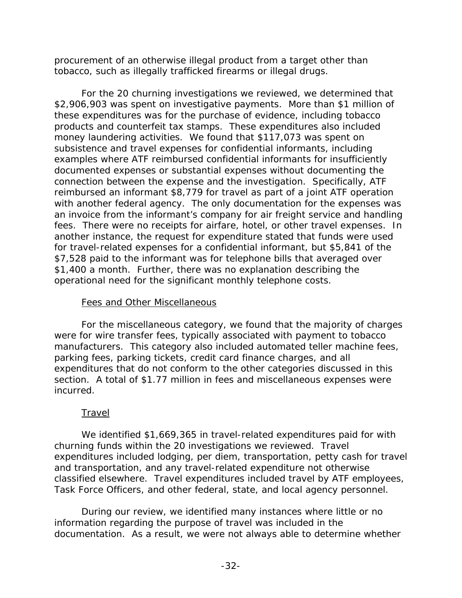procurement of an otherwise illegal product from a target other than tobacco, such as illegally trafficked firearms or illegal drugs.

For the 20 churning investigations we reviewed, we determined that \$2,906,903 was spent on investigative payments. More than \$1 million of these expenditures was for the purchase of evidence, including tobacco products and counterfeit tax stamps. These expenditures also included money laundering activities. We found that \$117,073 was spent on subsistence and travel expenses for confidential informants, including examples where ATF reimbursed confidential informants for insufficiently documented expenses or substantial expenses without documenting the connection between the expense and the investigation. Specifically, ATF reimbursed an informant \$8,779 for travel as part of a joint ATF operation with another federal agency. The only documentation for the expenses was an invoice from the informant's company for air freight service and handling fees. There were no receipts for airfare, hotel, or other travel expenses. In another instance, the request for expenditure stated that funds were used for travel-related expenses for a confidential informant, but \$5,841 of the \$7,528 paid to the informant was for telephone bills that averaged over \$1,400 a month. Further, there was no explanation describing the operational need for the significant monthly telephone costs.

## Fees and Other Miscellaneous

For the miscellaneous category, we found that the majority of charges were for wire transfer fees, typically associated with payment to tobacco manufacturers. This category also included automated teller machine fees, parking fees, parking tickets, credit card finance charges, and all expenditures that do not conform to the other categories discussed in this section. A total of \$1.77 million in fees and miscellaneous expenses were incurred.

# Travel

We identified \$1,669,365 in travel-related expenditures paid for with churning funds within the 20 investigations we reviewed. Travel expenditures included lodging, per diem, transportation, petty cash for travel and transportation, and any travel-related expenditure not otherwise classified elsewhere. Travel expenditures included travel by ATF employees, Task Force Officers, and other federal, state, and local agency personnel.

During our review, we identified many instances where little or no information regarding the purpose of travel was included in the documentation. As a result, we were not always able to determine whether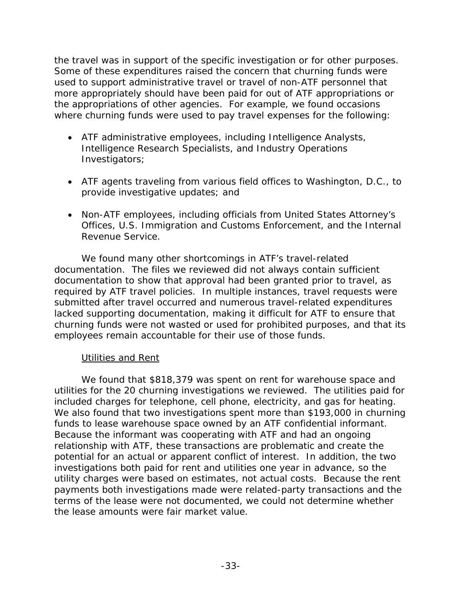the travel was in support of the specific investigation or for other purposes. Some of these expenditures raised the concern that churning funds were used to support administrative travel or travel of non-ATF personnel that more appropriately should have been paid for out of ATF appropriations or the appropriations of other agencies. For example, we found occasions where churning funds were used to pay travel expenses for the following:

- ATF administrative employees, including Intelligence Analysts, Intelligence Research Specialists, and Industry Operations Investigators;
- ATF agents traveling from various field offices to Washington, D.C., to provide investigative updates; and
- Non-ATF employees, including officials from United States Attorney's Offices, U.S. Immigration and Customs Enforcement, and the Internal Revenue Service.

We found many other shortcomings in ATF's travel-related documentation. The files we reviewed did not always contain sufficient documentation to show that approval had been granted prior to travel, as required by ATF travel policies. In multiple instances, travel requests were submitted after travel occurred and numerous travel-related expenditures lacked supporting documentation, making it difficult for ATF to ensure that churning funds were not wasted or used for prohibited purposes, and that its employees remain accountable for their use of those funds.

# Utilities and Rent

We found that \$818,379 was spent on rent for warehouse space and utilities for the 20 churning investigations we reviewed. The utilities paid for included charges for telephone, cell phone, electricity, and gas for heating. We also found that two investigations spent more than \$193,000 in churning funds to lease warehouse space owned by an ATF confidential informant. Because the informant was cooperating with ATF and had an ongoing relationship with ATF, these transactions are problematic and create the potential for an actual or apparent conflict of interest. In addition, the two investigations both paid for rent and utilities one year in advance, so the utility charges were based on estimates, not actual costs. Because the rent payments both investigations made were related-party transactions and the terms of the lease were not documented, we could not determine whether the lease amounts were fair market value.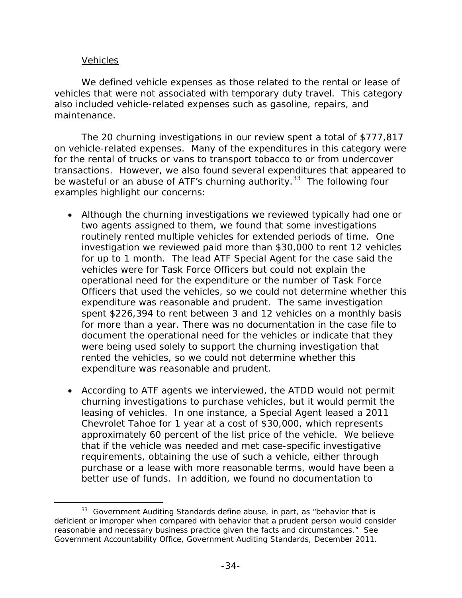## Vehicles

1

We defined vehicle expenses as those related to the rental or lease of vehicles that were not associated with temporary duty travel. This category also included vehicle-related expenses such as gasoline, repairs, and maintenance.

The 20 churning investigations in our review spent a total of \$777,817 on vehicle-related expenses. Many of the expenditures in this category were for the rental of trucks or vans to transport tobacco to or from undercover transactions. However, we also found several expenditures that appeared to be wasteful or an abuse of ATF's churning authority.<sup>33</sup> The following four examples highlight our concerns:

- Although the churning investigations we reviewed typically had one or two agents assigned to them, we found that some investigations routinely rented multiple vehicles for extended periods of time. One investigation we reviewed paid more than \$30,000 to rent 12 vehicles for up to 1 month. The lead ATF Special Agent for the case said the vehicles were for Task Force Officers but could not explain the operational need for the expenditure or the number of Task Force Officers that used the vehicles, so we could not determine whether this expenditure was reasonable and prudent. The same investigation spent \$226,394 to rent between 3 and 12 vehicles on a monthly basis for more than a year. There was no documentation in the case file to document the operational need for the vehicles or indicate that they were being used solely to support the churning investigation that rented the vehicles, so we could not determine whether this expenditure was reasonable and prudent.
- According to ATF agents we interviewed, the ATDD would not permit churning investigations to purchase vehicles, but it would permit the leasing of vehicles. In one instance, a Special Agent leased a 2011 Chevrolet Tahoe for 1 year at a cost of \$30,000, which represents approximately 60 percent of the list price of the vehicle. We believe that if the vehicle was needed and met case-specific investigative requirements, obtaining the use of such a vehicle, either through purchase or a lease with more reasonable terms, would have been a better use of funds. In addition, we found no documentation to

<sup>&</sup>lt;sup>33</sup> Government Auditing Standards define abuse, in part, as "behavior that is deficient or improper when compared with behavior that a prudent person would consider reasonable and necessary business practice given the facts and circumstances." See Government Accountability Office, Government Auditing Standards, December 2011.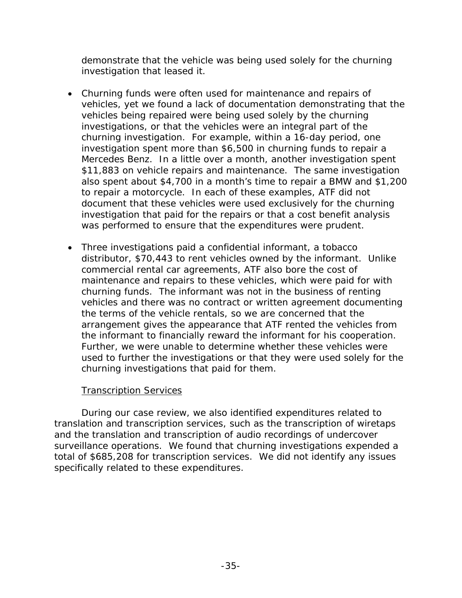demonstrate that the vehicle was being used solely for the churning investigation that leased it.

- Churning funds were often used for maintenance and repairs of vehicles, yet we found a lack of documentation demonstrating that the vehicles being repaired were being used solely by the churning investigations, or that the vehicles were an integral part of the churning investigation. For example, within a 16-day period, one investigation spent more than \$6,500 in churning funds to repair a Mercedes Benz. In a little over a month, another investigation spent \$11,883 on vehicle repairs and maintenance. The same investigation also spent about \$4,700 in a month's time to repair a BMW and \$1,200 to repair a motorcycle. In each of these examples, ATF did not document that these vehicles were used exclusively for the churning investigation that paid for the repairs or that a cost benefit analysis was performed to ensure that the expenditures were prudent.
- Three investigations paid a confidential informant, a tobacco distributor, \$70,443 to rent vehicles owned by the informant. Unlike commercial rental car agreements, ATF also bore the cost of maintenance and repairs to these vehicles, which were paid for with churning funds. The informant was not in the business of renting vehicles and there was no contract or written agreement documenting the terms of the vehicle rentals, so we are concerned that the arrangement gives the appearance that ATF rented the vehicles from the informant to financially reward the informant for his cooperation. Further, we were unable to determine whether these vehicles were used to further the investigations or that they were used solely for the churning investigations that paid for them.

# **Transcription Services**

During our case review, we also identified expenditures related to translation and transcription services, such as the transcription of wiretaps and the translation and transcription of audio recordings of undercover surveillance operations. We found that churning investigations expended a total of \$685,208 for transcription services. We did not identify any issues specifically related to these expenditures.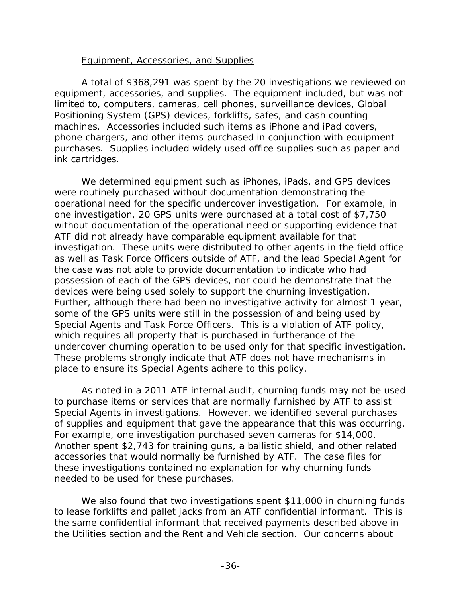## Equipment, Accessories, and Supplies

A total of \$368,291 was spent by the 20 investigations we reviewed on equipment, accessories, and supplies. The equipment included, but was not limited to, computers, cameras, cell phones, surveillance devices, Global Positioning System (GPS) devices, forklifts, safes, and cash counting machines. Accessories included such items as iPhone and iPad covers, phone chargers, and other items purchased in conjunction with equipment purchases. Supplies included widely used office supplies such as paper and ink cartridges.

We determined equipment such as iPhones, iPads, and GPS devices were routinely purchased without documentation demonstrating the operational need for the specific undercover investigation. For example, in one investigation, 20 GPS units were purchased at a total cost of \$7,750 without documentation of the operational need or supporting evidence that ATF did not already have comparable equipment available for that investigation. These units were distributed to other agents in the field office as well as Task Force Officers outside of ATF, and the lead Special Agent for the case was not able to provide documentation to indicate who had possession of each of the GPS devices, nor could he demonstrate that the devices were being used solely to support the churning investigation. Further, although there had been no investigative activity for almost 1 year, some of the GPS units were still in the possession of and being used by Special Agents and Task Force Officers. This is a violation of ATF policy, which requires all property that is purchased in furtherance of the undercover churning operation to be used only for that specific investigation. These problems strongly indicate that ATF does not have mechanisms in place to ensure its Special Agents adhere to this policy.

As noted in a 2011 ATF internal audit, churning funds may not be used to purchase items or services that are normally furnished by ATF to assist Special Agents in investigations. However, we identified several purchases of supplies and equipment that gave the appearance that this was occurring. For example, one investigation purchased seven cameras for \$14,000. Another spent \$2,743 for training guns, a ballistic shield, and other related accessories that would normally be furnished by ATF. The case files for these investigations contained no explanation for why churning funds needed to be used for these purchases.

We also found that two investigations spent \$11,000 in churning funds to lease forklifts and pallet jacks from an ATF confidential informant. This is the same confidential informant that received payments described above in the Utilities section and the Rent and Vehicle section. Our concerns about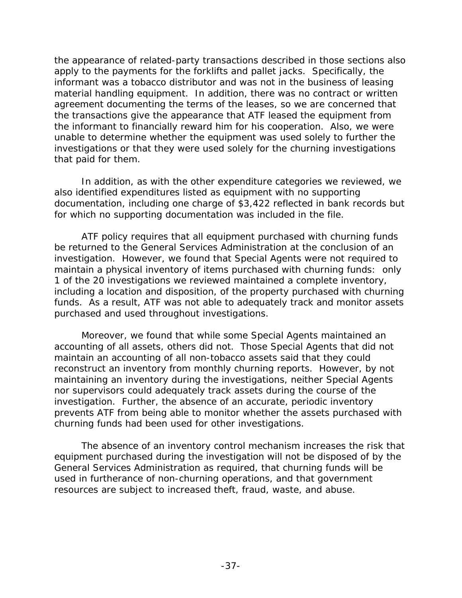the appearance of related-party transactions described in those sections also apply to the payments for the forklifts and pallet jacks. Specifically, the informant was a tobacco distributor and was not in the business of leasing material handling equipment. In addition, there was no contract or written agreement documenting the terms of the leases, so we are concerned that the transactions give the appearance that ATF leased the equipment from the informant to financially reward him for his cooperation. Also, we were unable to determine whether the equipment was used solely to further the investigations or that they were used solely for the churning investigations that paid for them.

In addition, as with the other expenditure categories we reviewed, we also identified expenditures listed as equipment with no supporting documentation, including one charge of \$3,422 reflected in bank records but for which no supporting documentation was included in the file.

ATF policy requires that all equipment purchased with churning funds be returned to the General Services Administration at the conclusion of an investigation. However, we found that Special Agents were not required to maintain a physical inventory of items purchased with churning funds: only 1 of the 20 investigations we reviewed maintained a complete inventory, including a location and disposition, of the property purchased with churning funds. As a result, ATF was not able to adequately track and monitor assets purchased and used throughout investigations.

Moreover, we found that while some Special Agents maintained an accounting of all assets, others did not. Those Special Agents that did not maintain an accounting of all non-tobacco assets said that they could reconstruct an inventory from monthly churning reports. However, by not maintaining an inventory during the investigations, neither Special Agents nor supervisors could adequately track assets during the course of the investigation. Further, the absence of an accurate, periodic inventory prevents ATF from being able to monitor whether the assets purchased with churning funds had been used for other investigations.

The absence of an inventory control mechanism increases the risk that equipment purchased during the investigation will not be disposed of by the General Services Administration as required, that churning funds will be used in furtherance of non-churning operations, and that government resources are subject to increased theft, fraud, waste, and abuse.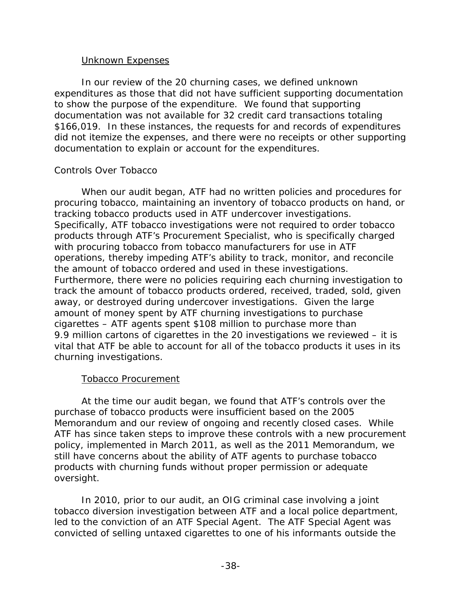## Unknown Expenses

In our review of the 20 churning cases, we defined unknown expenditures as those that did not have sufficient supporting documentation to show the purpose of the expenditure. We found that supporting documentation was not available for 32 credit card transactions totaling \$166,019. In these instances, the requests for and records of expenditures did not itemize the expenses, and there were no receipts or other supporting documentation to explain or account for the expenditures.

# *Controls Over Tobacco*

When our audit began, ATF had no written policies and procedures for procuring tobacco, maintaining an inventory of tobacco products on hand, or tracking tobacco products used in ATF undercover investigations. Specifically, ATF tobacco investigations were not required to order tobacco products through ATF's Procurement Specialist, who is specifically charged with procuring tobacco from tobacco manufacturers for use in ATF operations, thereby impeding ATF's ability to track, monitor, and reconcile the amount of tobacco ordered and used in these investigations. Furthermore, there were no policies requiring each churning investigation to track the amount of tobacco products ordered, received, traded, sold, given away, or destroyed during undercover investigations. Given the large amount of money spent by ATF churning investigations to purchase cigarettes – ATF agents spent \$108 million to purchase more than 9.9 million cartons of cigarettes in the 20 investigations we reviewed – it is vital that ATF be able to account for all of the tobacco products it uses in its churning investigations.

# Tobacco Procurement

At the time our audit began, we found that ATF's controls over the purchase of tobacco products were insufficient based on the 2005 Memorandum and our review of ongoing and recently closed cases. While ATF has since taken steps to improve these controls with a new procurement policy, implemented in March 2011, as well as the 2011 Memorandum, we still have concerns about the ability of ATF agents to purchase tobacco products with churning funds without proper permission or adequate oversight.

In 2010, prior to our audit, an OIG criminal case involving a joint tobacco diversion investigation between ATF and a local police department, led to the conviction of an ATF Special Agent. The ATF Special Agent was convicted of selling untaxed cigarettes to one of his informants outside the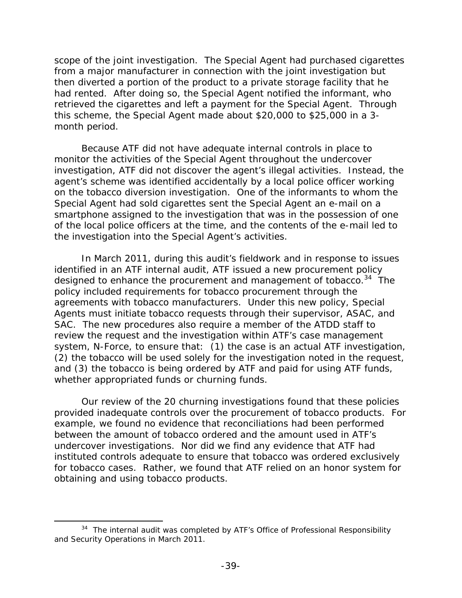scope of the joint investigation. The Special Agent had purchased cigarettes from a major manufacturer in connection with the joint investigation but then diverted a portion of the product to a private storage facility that he had rented. After doing so, the Special Agent notified the informant, who retrieved the cigarettes and left a payment for the Special Agent. Through this scheme, the Special Agent made about \$20,000 to \$25,000 in a 3 month period.

Because ATF did not have adequate internal controls in place to monitor the activities of the Special Agent throughout the undercover investigation, ATF did not discover the agent's illegal activities. Instead, the agent's scheme was identified accidentally by a local police officer working on the tobacco diversion investigation. One of the informants to whom the Special Agent had sold cigarettes sent the Special Agent an e-mail on a smartphone assigned to the investigation that was in the possession of one of the local police officers at the time, and the contents of the e-mail led to the investigation into the Special Agent's activities.

In March 2011, during this audit's fieldwork and in response to issues identified in an ATF internal audit, ATF issued a new procurement policy designed to enhance the procurement and management of tobacco.<sup>34</sup> The policy included requirements for tobacco procurement through the agreements with tobacco manufacturers. Under this new policy, Special Agents must initiate tobacco requests through their supervisor, ASAC, and SAC. The new procedures also require a member of the ATDD staff to review the request and the investigation within ATF's case management system, N-Force, to ensure that: (1) the case is an actual ATF investigation, (2) the tobacco will be used solely for the investigation noted in the request, and (3) the tobacco is being ordered by ATF and paid for using ATF funds, whether appropriated funds or churning funds.

Our review of the 20 churning investigations found that these policies provided inadequate controls over the procurement of tobacco products. For example, we found no evidence that reconciliations had been performed between the amount of tobacco ordered and the amount used in ATF's undercover investigations. Nor did we find any evidence that ATF had instituted controls adequate to ensure that tobacco was ordered exclusively for tobacco cases. Rather, we found that ATF relied on an honor system for obtaining and using tobacco products.

 $\overline{a}$ 

<sup>&</sup>lt;sup>34</sup> The internal audit was completed by ATF's Office of Professional Responsibility and Security Operations in March 2011.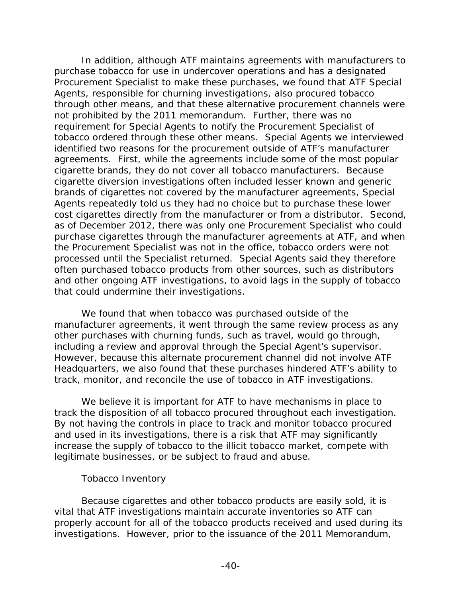In addition, although ATF maintains agreements with manufacturers to purchase tobacco for use in undercover operations and has a designated Procurement Specialist to make these purchases, we found that ATF Special Agents, responsible for churning investigations, also procured tobacco through other means, and that these alternative procurement channels were not prohibited by the 2011 memorandum. Further, there was no requirement for Special Agents to notify the Procurement Specialist of tobacco ordered through these other means. Special Agents we interviewed identified two reasons for the procurement outside of ATF's manufacturer agreements. First, while the agreements include some of the most popular cigarette brands, they do not cover all tobacco manufacturers. Because cigarette diversion investigations often included lesser known and generic brands of cigarettes not covered by the manufacturer agreements, Special Agents repeatedly told us they had no choice but to purchase these lower cost cigarettes directly from the manufacturer or from a distributor. Second, as of December 2012, there was only one Procurement Specialist who could purchase cigarettes through the manufacturer agreements at ATF, and when the Procurement Specialist was not in the office, tobacco orders were not processed until the Specialist returned. Special Agents said they therefore often purchased tobacco products from other sources, such as distributors and other ongoing ATF investigations, to avoid lags in the supply of tobacco that could undermine their investigations.

We found that when tobacco was purchased outside of the manufacturer agreements, it went through the same review process as any other purchases with churning funds, such as travel, would go through, including a review and approval through the Special Agent's supervisor. However, because this alternate procurement channel did not involve ATF Headquarters, we also found that these purchases hindered ATF's ability to track, monitor, and reconcile the use of tobacco in ATF investigations.

We believe it is important for ATF to have mechanisms in place to track the disposition of all tobacco procured throughout each investigation. By not having the controls in place to track and monitor tobacco procured and used in its investigations, there is a risk that ATF may significantly increase the supply of tobacco to the illicit tobacco market, compete with legitimate businesses, or be subject to fraud and abuse.

### Tobacco Inventory

Because cigarettes and other tobacco products are easily sold, it is vital that ATF investigations maintain accurate inventories so ATF can properly account for all of the tobacco products received and used during its investigations. However, prior to the issuance of the 2011 Memorandum,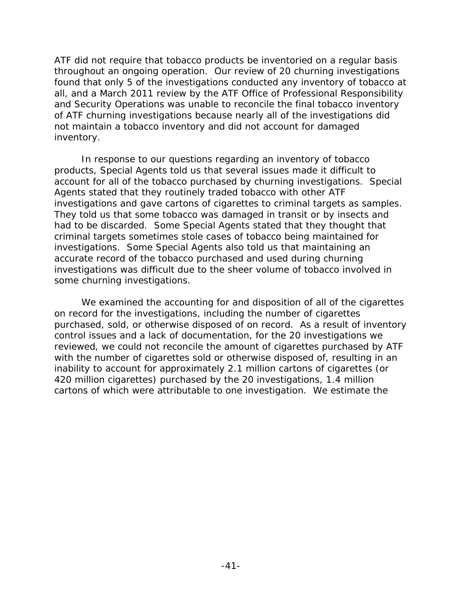ATF did not require that tobacco products be inventoried on a regular basis throughout an ongoing operation. Our review of 20 churning investigations found that only 5 of the investigations conducted any inventory of tobacco at all, and a March 2011 review by the ATF Office of Professional Responsibility and Security Operations was unable to reconcile the final tobacco inventory of ATF churning investigations because nearly all of the investigations did not maintain a tobacco inventory and did not account for damaged inventory.

In response to our questions regarding an inventory of tobacco products, Special Agents told us that several issues made it difficult to account for all of the tobacco purchased by churning investigations. Special Agents stated that they routinely traded tobacco with other ATF investigations and gave cartons of cigarettes to criminal targets as samples. They told us that some tobacco was damaged in transit or by insects and had to be discarded. Some Special Agents stated that they thought that criminal targets sometimes stole cases of tobacco being maintained for investigations. Some Special Agents also told us that maintaining an accurate record of the tobacco purchased and used during churning investigations was difficult due to the sheer volume of tobacco involved in some churning investigations.

We examined the accounting for and disposition of all of the cigarettes on record for the investigations, including the number of cigarettes purchased, sold, or otherwise disposed of on record. As a result of inventory control issues and a lack of documentation, for the 20 investigations we reviewed, we could not reconcile the amount of cigarettes purchased by ATF with the number of cigarettes sold or otherwise disposed of, resulting in an inability to account for approximately 2.1 million cartons of cigarettes (or 420 million cigarettes) purchased by the 20 investigations, 1.4 million cartons of which were attributable to one investigation. We estimate the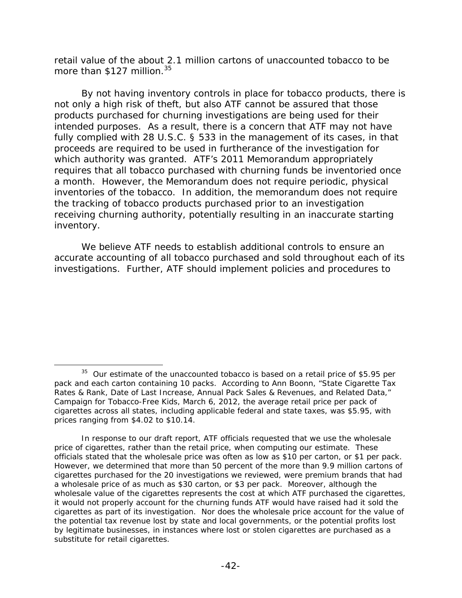retail value of the about 2.1 million cartons of unaccounted tobacco to be more than \$127 million.<sup>35</sup>

By not having inventory controls in place for tobacco products, there is not only a high risk of theft, but also ATF cannot be assured that those products purchased for churning investigations are being used for their intended purposes. As a result, there is a concern that ATF may not have fully complied with 28 U.S.C. § 533 in the management of its cases, in that proceeds are required to be used in furtherance of the investigation for which authority was granted. ATF's 2011 Memorandum appropriately requires that all tobacco purchased with churning funds be inventoried once a month. However, the Memorandum does not require periodic, physical inventories of the tobacco. In addition, the memorandum does not require the tracking of tobacco products purchased prior to an investigation receiving churning authority, potentially resulting in an inaccurate starting inventory.

We believe ATF needs to establish additional controls to ensure an accurate accounting of all tobacco purchased and sold throughout each of its investigations. Further, ATF should implement policies and procedures to

 $\overline{a}$  pack and each carton containing 10 packs. According to Ann Boonn, "State Cigarette Tax  $35$  Our estimate of the unaccounted tobacco is based on a retail price of \$5.95 per Rates & Rank, Date of Last Increase, Annual Pack Sales & Revenues, and Related Data," Campaign for Tobacco-Free Kids, March 6, 2012, the average retail price per pack of cigarettes across all states, including applicable federal and state taxes, was \$5.95, with prices ranging from \$4.02 to \$10.14.

In response to our draft report, ATF officials requested that we use the wholesale price of cigarettes, rather than the retail price, when computing our estimate. These officials stated that the wholesale price was often as low as \$10 per carton, or \$1 per pack. However, we determined that more than 50 percent of the more than 9.9 million cartons of cigarettes purchased for the 20 investigations we reviewed, were premium brands that had a wholesale price of as much as \$30 carton, or \$3 per pack. Moreover, although the wholesale value of the cigarettes represents the cost at which ATF purchased the cigarettes, it would not properly account for the churning funds ATF would have raised had it sold the cigarettes as part of its investigation. Nor does the wholesale price account for the value of the potential tax revenue lost by state and local governments, or the potential profits lost by legitimate businesses, in instances where lost or stolen cigarettes are purchased as a substitute for retail cigarettes.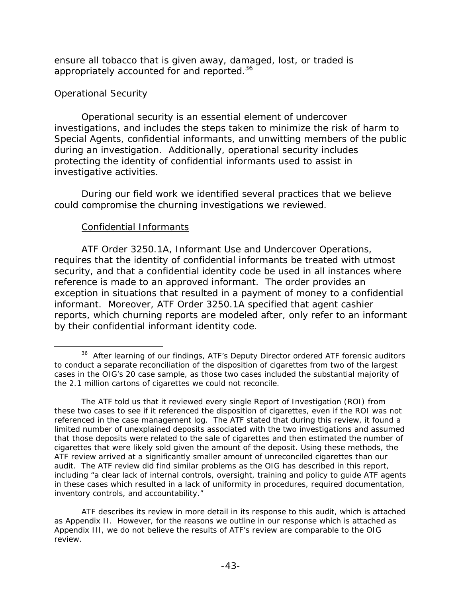ensure all tobacco that is given away, damaged, lost, or traded is appropriately accounted for and reported.<sup>36</sup>

# *Operational Security*

 $\overline{a}$ 

Operational security is an essential element of undercover investigations, and includes the steps taken to minimize the risk of harm to Special Agents, confidential informants, and unwitting members of the public during an investigation. Additionally, operational security includes protecting the identity of confidential informants used to assist in investigative activities.

During our field work we identified several practices that we believe could compromise the churning investigations we reviewed.

# Confidential Informants

ATF Order 3250.1A, *Informant Use and Undercover Operations*, requires that the identity of confidential informants be treated with utmost security, and that a confidential identity code be used in all instances where reference is made to an approved informant. The order provides an exception in situations that resulted in a payment of money to a confidential informant. Moreover, ATF Order 3250.1A specified that agent cashier reports, which churning reports are modeled after, only refer to an informant by their confidential informant identity code.

<sup>&</sup>lt;sup>36</sup> After learning of our findings, ATF's Deputy Director ordered ATF forensic auditors to conduct a separate reconciliation of the disposition of cigarettes from two of the largest cases in the OIG's 20 case sample, as those two cases included the substantial majority of the 2.1 million cartons of cigarettes we could not reconcile.

The ATF told us that it reviewed every single Report of Investigation (ROI) from these two cases to see if it referenced the disposition of cigarettes, even if the ROI was not referenced in the case management log. The ATF stated that during this review, it found a limited number of unexplained deposits associated with the two investigations and assumed that those deposits were related to the sale of cigarettes and then estimated the number of cigarettes that were likely sold given the amount of the deposit. Using these methods, the ATF review arrived at a significantly smaller amount of unreconciled cigarettes than our audit. The ATF review did find similar problems as the OIG has described in this report, including "a clear lack of internal controls, oversight, training and policy to guide ATF agents in these cases which resulted in a lack of uniformity in procedures, required documentation, inventory controls, and accountability."

ATF describes its review in more detail in its response to this audit, which is attached as Appendix II. However, for the reasons we outline in our response which is attached as Appendix III, we do not believe the results of ATF's review are comparable to the OIG review.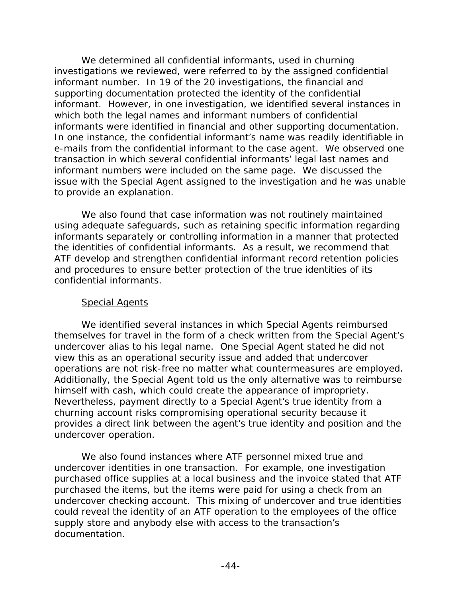We determined all confidential informants, used in churning investigations we reviewed, were referred to by the assigned confidential informant number. In 19 of the 20 investigations, the financial and supporting documentation protected the identity of the confidential informant. However, in one investigation, we identified several instances in which both the legal names and informant numbers of confidential informants were identified in financial and other supporting documentation. In one instance, the confidential informant's name was readily identifiable in e-mails from the confidential informant to the case agent. We observed one transaction in which several confidential informants' legal last names and informant numbers were included on the same page. We discussed the issue with the Special Agent assigned to the investigation and he was unable to provide an explanation.

We also found that case information was not routinely maintained using adequate safeguards, such as retaining specific information regarding informants separately or controlling information in a manner that protected the identities of confidential informants. As a result, we recommend that ATF develop and strengthen confidential informant record retention policies and procedures to ensure better protection of the true identities of its confidential informants.

## Special Agents

We identified several instances in which Special Agents reimbursed themselves for travel in the form of a check written from the Special Agent's undercover alias to his legal name. One Special Agent stated he did not view this as an operational security issue and added that undercover operations are not risk-free no matter what countermeasures are employed. Additionally, the Special Agent told us the only alternative was to reimburse himself with cash, which could create the appearance of impropriety. Nevertheless, payment directly to a Special Agent's true identity from a churning account risks compromising operational security because it provides a direct link between the agent's true identity and position and the undercover operation.

We also found instances where ATF personnel mixed true and undercover identities in one transaction. For example, one investigation purchased office supplies at a local business and the invoice stated that ATF purchased the items, but the items were paid for using a check from an undercover checking account. This mixing of undercover and true identities could reveal the identity of an ATF operation to the employees of the office supply store and anybody else with access to the transaction's documentation.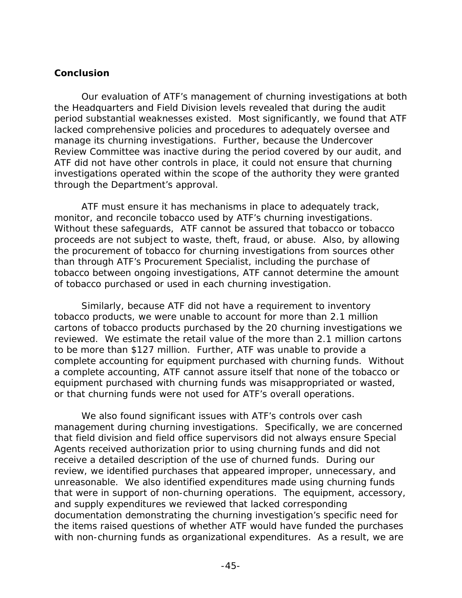## **Conclusion**

 period substantial weaknesses existed. Most significantly, we found that ATF Our evaluation of ATF's management of churning investigations at both the Headquarters and Field Division levels revealed that during the audit lacked comprehensive policies and procedures to adequately oversee and manage its churning investigations. Further, because the Undercover Review Committee was inactive during the period covered by our audit, and ATF did not have other controls in place, it could not ensure that churning investigations operated within the scope of the authority they were granted through the Department's approval.

ATF must ensure it has mechanisms in place to adequately track, monitor, and reconcile tobacco used by ATF's churning investigations. Without these safeguards, ATF cannot be assured that tobacco or tobacco proceeds are not subject to waste, theft, fraud, or abuse. Also, by allowing the procurement of tobacco for churning investigations from sources other than through ATF's Procurement Specialist, including the purchase of tobacco between ongoing investigations, ATF cannot determine the amount of tobacco purchased or used in each churning investigation.

Similarly, because ATF did not have a requirement to inventory tobacco products, we were unable to account for more than 2.1 million cartons of tobacco products purchased by the 20 churning investigations we reviewed. We estimate the retail value of the more than 2.1 million cartons to be more than \$127 million. Further, ATF was unable to provide a complete accounting for equipment purchased with churning funds. Without a complete accounting, ATF cannot assure itself that none of the tobacco or equipment purchased with churning funds was misappropriated or wasted, or that churning funds were not used for ATF's overall operations.

We also found significant issues with ATF's controls over cash management during churning investigations. Specifically, we are concerned that field division and field office supervisors did not always ensure Special Agents received authorization prior to using churning funds and did not receive a detailed description of the use of churned funds. During our review, we identified purchases that appeared improper, unnecessary, and unreasonable. We also identified expenditures made using churning funds that were in support of non-churning operations. The equipment, accessory, and supply expenditures we reviewed that lacked corresponding documentation demonstrating the churning investigation's specific need for the items raised questions of whether ATF would have funded the purchases with non-churning funds as organizational expenditures. As a result, we are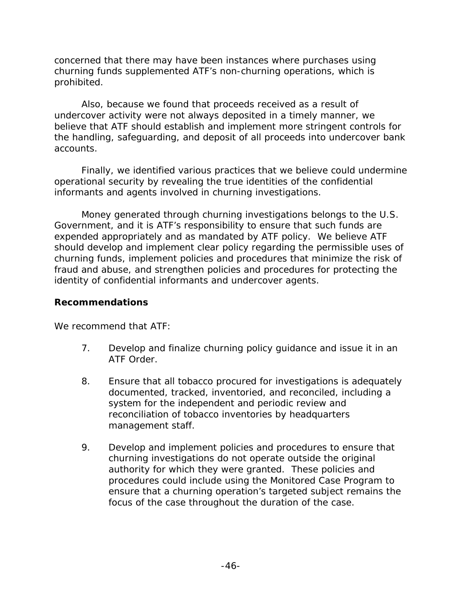concerned that there may have been instances where purchases using churning funds supplemented ATF's non-churning operations, which is prohibited.

Also, because we found that proceeds received as a result of undercover activity were not always deposited in a timely manner, we believe that ATF should establish and implement more stringent controls for the handling, safeguarding, and deposit of all proceeds into undercover bank accounts.

Finally, we identified various practices that we believe could undermine operational security by revealing the true identities of the confidential informants and agents involved in churning investigations.

Money generated through churning investigations belongs to the U.S. Government, and it is ATF's responsibility to ensure that such funds are expended appropriately and as mandated by ATF policy. We believe ATF should develop and implement clear policy regarding the permissible uses of churning funds, implement policies and procedures that minimize the risk of fraud and abuse, and strengthen policies and procedures for protecting the identity of confidential informants and undercover agents.

# **Recommendations**

We recommend that ATF:

- 7. Develop and finalize churning policy guidance and issue it in an ATF Order.
- 8. Ensure that all tobacco procured for investigations is adequately documented, tracked, inventoried, and reconciled, including a system for the independent and periodic review and reconciliation of tobacco inventories by headquarters management staff.
- 9. Develop and implement policies and procedures to ensure that churning investigations do not operate outside the original authority for which they were granted. These policies and procedures could include using the Monitored Case Program to ensure that a churning operation's targeted subject remains the focus of the case throughout the duration of the case.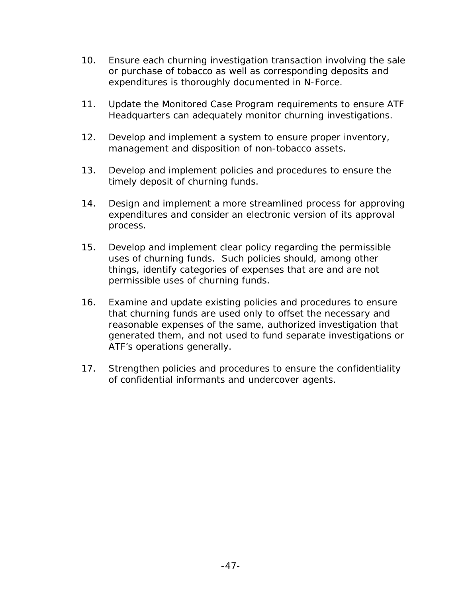- 10. Ensure each churning investigation transaction involving the sale or purchase of tobacco as well as corresponding deposits and expenditures is thoroughly documented in N-Force.
- 11. Update the Monitored Case Program requirements to ensure ATF Headquarters can adequately monitor churning investigations.
- 12. Develop and implement a system to ensure proper inventory, management and disposition of non-tobacco assets.
- 13. Develop and implement policies and procedures to ensure the timely deposit of churning funds.
- 14. Design and implement a more streamlined process for approving expenditures and consider an electronic version of its approval process.
- 15. Develop and implement clear policy regarding the permissible uses of churning funds. Such policies should, among other things, identify categories of expenses that are and are not permissible uses of churning funds.
- 16. Examine and update existing policies and procedures to ensure that churning funds are used only to offset the necessary and reasonable expenses of the same, authorized investigation that generated them, and not used to fund separate investigations or ATF's operations generally.
- 17. Strengthen policies and procedures to ensure the confidentiality of confidential informants and undercover agents.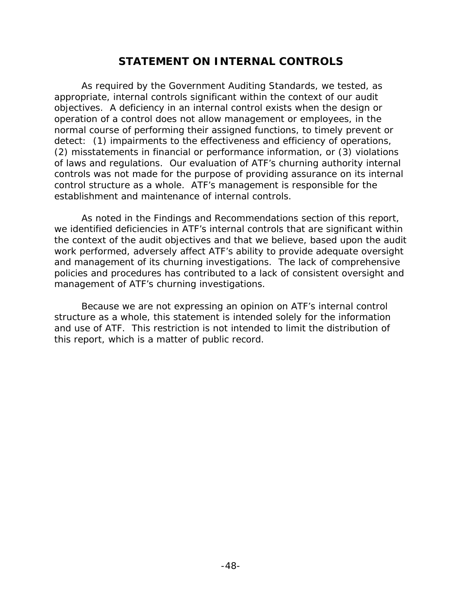# **STATEMENT ON INTERNAL CONTROLS**

As required by the *Government Auditing Standards,* we tested, as appropriate, internal controls significant within the context of our audit objectives. A deficiency in an internal control exists when the design or operation of a control does not allow management or employees, in the normal course of performing their assigned functions, to timely prevent or detect: (1) impairments to the effectiveness and efficiency of operations, (2) misstatements in financial or performance information, or (3) violations of laws and regulations. Our evaluation of ATF's churning authority internal controls was *not* made for the purpose of providing assurance on its internal control structure as a whole. ATF's management is responsible for the establishment and maintenance of internal controls.

As noted in the Findings and Recommendations section of this report, we identified deficiencies in ATF's internal controls that are significant within the context of the audit objectives and that we believe, based upon the audit work performed, adversely affect ATF's ability to provide adequate oversight and management of its churning investigations. The lack of comprehensive policies and procedures has contributed to a lack of consistent oversight and management of ATF's churning investigations.

Because we are not expressing an opinion on ATF's internal control structure as a whole, this statement is intended solely for the information and use of ATF. This restriction is not intended to limit the distribution of this report, which is a matter of public record.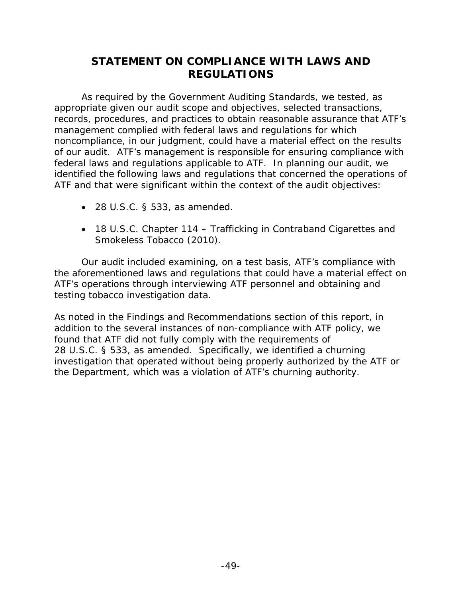# **STATEMENT ON COMPLIANCE WITH LAWS AND REGULATIONS**

As required by the *Government Auditing Standards*, we tested, as appropriate given our audit scope and objectives, selected transactions, records, procedures, and practices to obtain reasonable assurance that ATF's management complied with federal laws and regulations for which noncompliance, in our judgment, could have a material effect on the results of our audit. ATF's management is responsible for ensuring compliance with federal laws and regulations applicable to ATF. In planning our audit, we identified the following laws and regulations that concerned the operations of ATF and that were significant within the context of the audit objectives:

- $\bullet$  28 U.S.C. § 533, as amended.
- 18 U.S.C. Chapter 114 Trafficking in Contraband Cigarettes and Smokeless Tobacco (2010).

Our audit included examining, on a test basis, ATF's compliance with the aforementioned laws and regulations that could have a material effect on ATF's operations through interviewing ATF personnel and obtaining and testing tobacco investigation data.

As noted in the Findings and Recommendations section of this report, in addition to the several instances of non-compliance with ATF policy, we found that ATF did not fully comply with the requirements of 28 U.S.C. § 533, as amended. Specifically, we identified a churning investigation that operated without being properly authorized by the ATF or the Department, which was a violation of ATF's churning authority.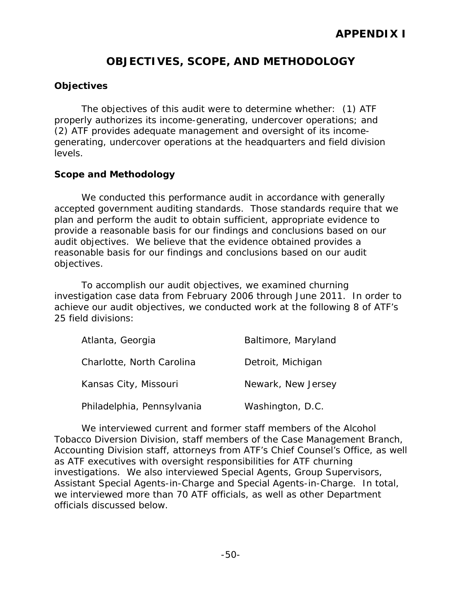# **OBJECTIVES, SCOPE, AND METHODOLOGY**

# **Objectives**

The objectives of this audit were to determine whether: (1) ATF properly authorizes its income-generating, undercover operations; and (2) ATF provides adequate management and oversight of its incomegenerating, undercover operations at the headquarters and field division levels.

## **Scope and Methodology**

We conducted this performance audit in accordance with generally accepted government auditing standards. Those standards require that we plan and perform the audit to obtain sufficient, appropriate evidence to provide a reasonable basis for our findings and conclusions based on our audit objectives. We believe that the evidence obtained provides a reasonable basis for our findings and conclusions based on our audit objectives.

To accomplish our audit objectives, we examined churning investigation case data from February 2006 through June 2011. In order to achieve our audit objectives, we conducted work at the following 8 of ATF's 25 field divisions:

| Atlanta, Georgia           | Baltimore, Maryland |
|----------------------------|---------------------|
| Charlotte, North Carolina  | Detroit, Michigan   |
| Kansas City, Missouri      | Newark, New Jersey  |
| Philadelphia, Pennsylvania | Washington, D.C.    |

We interviewed current and former staff members of the Alcohol Tobacco Diversion Division, staff members of the Case Management Branch, Accounting Division staff, attorneys from ATF's Chief Counsel's Office, as well as ATF executives with oversight responsibilities for ATF churning investigations. We also interviewed Special Agents, Group Supervisors, Assistant Special Agents-in-Charge and Special Agents-in-Charge. In total, we interviewed more than 70 ATF officials, as well as other Department officials discussed below.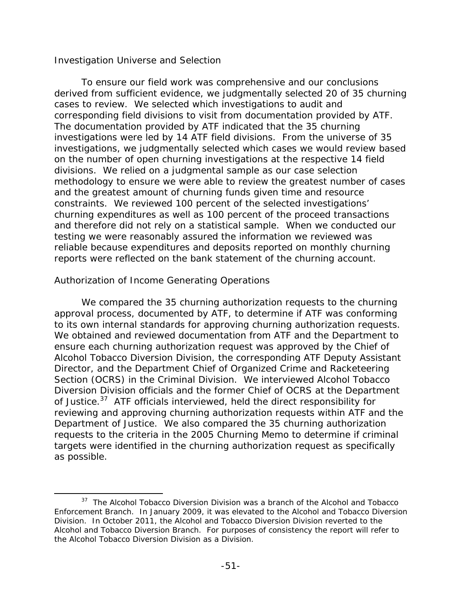## *Investigation Universe and Selection*

To ensure our field work was comprehensive and our conclusions derived from sufficient evidence, we judgmentally selected 20 of 35 churning cases to review. We selected which investigations to audit and corresponding field divisions to visit from documentation provided by ATF. The documentation provided by ATF indicated that the 35 churning investigations were led by 14 ATF field divisions. From the universe of 35 investigations, we judgmentally selected which cases we would review based on the number of open churning investigations at the respective 14 field divisions. We relied on a judgmental sample as our case selection methodology to ensure we were able to review the greatest number of cases and the greatest amount of churning funds given time and resource constraints. We reviewed 100 percent of the selected investigations' churning expenditures as well as 100 percent of the proceed transactions and therefore did not rely on a statistical sample. When we conducted our testing we were reasonably assured the information we reviewed was reliable because expenditures and deposits reported on monthly churning reports were reflected on the bank statement of the churning account.

# *Authorization of Income Generating Operations*

We compared the 35 churning authorization requests to the churning approval process, documented by ATF, to determine if ATF was conforming to its own internal standards for approving churning authorization requests. We obtained and reviewed documentation from ATF and the Department to ensure each churning authorization request was approved by the Chief of Alcohol Tobacco Diversion Division, the corresponding ATF Deputy Assistant Director, and the Department Chief of Organized Crime and Racketeering Section (OCRS) in the Criminal Division. We interviewed Alcohol Tobacco Diversion Division officials and the former Chief of OCRS at the Department of Justice.<sup>37</sup> ATF officials interviewed, held the direct responsibility for reviewing and approving churning authorization requests within ATF and the Department of Justice. We also compared the 35 churning authorization requests to the criteria in the 2005 Churning Memo to determine if criminal targets were identified in the churning authorization request as specifically as possible.

 $\overline{a}$ <sup>37</sup> The Alcohol Tobacco Diversion Division was a branch of the Alcohol and Tobacco Enforcement Branch. In January 2009, it was elevated to the Alcohol and Tobacco Diversion Division. In October 2011, the Alcohol and Tobacco Diversion Division reverted to the Alcohol and Tobacco Diversion Branch. For purposes of consistency the report will refer to the Alcohol Tobacco Diversion Division as a Division.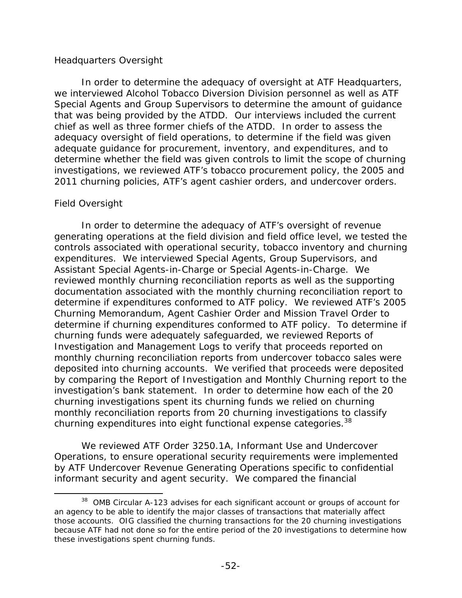## *Headquarters Oversight*

In order to determine the adequacy of oversight at ATF Headquarters, we interviewed Alcohol Tobacco Diversion Division personnel as well as ATF Special Agents and Group Supervisors to determine the amount of guidance that was being provided by the ATDD. Our interviews included the current chief as well as three former chiefs of the ATDD. In order to assess the adequacy oversight of field operations, to determine if the field was given adequate guidance for procurement, inventory, and expenditures, and to determine whether the field was given controls to limit the scope of churning investigations, we reviewed ATF's tobacco procurement policy, the 2005 and 2011 churning policies, ATF's agent cashier orders, and undercover orders.

# *Field Oversight*

1

In order to determine the adequacy of ATF's oversight of revenue generating operations at the field division and field office level, we tested the controls associated with operational security, tobacco inventory and churning expenditures. We interviewed Special Agents, Group Supervisors, and Assistant Special Agents-in-Charge or Special Agents-in-Charge. We reviewed monthly churning reconciliation reports as well as the supporting documentation associated with the monthly churning reconciliation report to determine if expenditures conformed to ATF policy. We reviewed ATF's 2005 Churning Memorandum, Agent Cashier Order and Mission Travel Order to determine if churning expenditures conformed to ATF policy. To determine if churning funds were adequately safeguarded, we reviewed Reports of Investigation and Management Logs to verify that proceeds reported on monthly churning reconciliation reports from undercover tobacco sales were deposited into churning accounts. We verified that proceeds were deposited by comparing the Report of Investigation and Monthly Churning report to the investigation's bank statement. In order to determine how each of the 20 churning investigations spent its churning funds we relied on churning monthly reconciliation reports from 20 churning investigations to classify churning expenditures into eight functional expense categories.<sup>38</sup>

We reviewed ATF Order 3250.1A, *Informant Use and Undercover Operations*, to ensure operational security requirements were implemented by ATF Undercover Revenue Generating Operations specific to confidential informant security and agent security. We compared the financial

<sup>&</sup>lt;sup>38</sup> OMB Circular A-123 advises for each significant account or groups of account for an agency to be able to identify the major classes of transactions that materially affect those accounts. OIG classified the churning transactions for the 20 churning investigations because ATF had not done so for the entire period of the 20 investigations to determine how these investigations spent churning funds.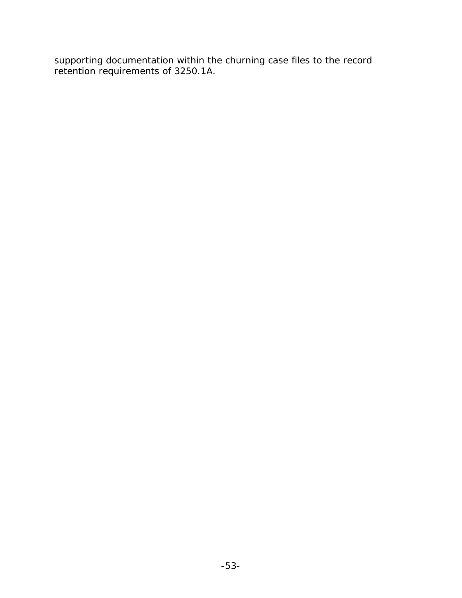supporting documentation within the churning case files to the record retention requirements of 3250.1A.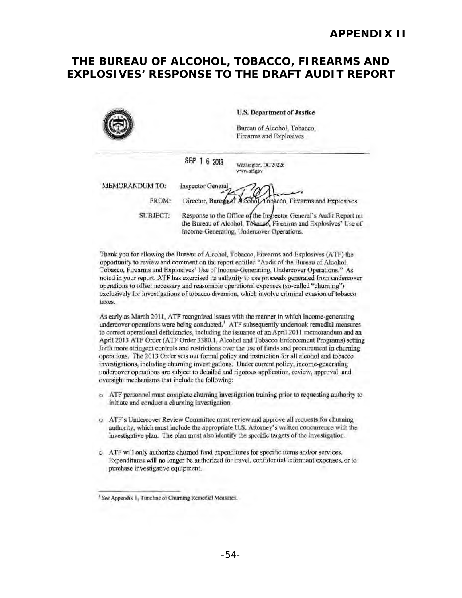# **THE BUREAU OF ALCOHOL, TOBACCO, FIREARMS AND EXPLOSIVES' RESPONSE TO THE DRAFT AUDIT REPORT**

|                       |                          | <b>U.S. Department of Justice</b><br>Bureau of Alcohol, Tobacco,<br>Firearms and Explosives                                                                                       |
|-----------------------|--------------------------|-----------------------------------------------------------------------------------------------------------------------------------------------------------------------------------|
|                       | SEP 1 6 2013             | Washington, DC 20226<br>www.atf.gov                                                                                                                                               |
| <b>MEMORANDUM TO:</b> | <b>Inspector General</b> |                                                                                                                                                                                   |
| FROM:                 |                          | Director, Bure great Alcohol Tobacco, Firearms and Explosives                                                                                                                     |
| <b>SUBJECT:</b>       |                          | Response to the Office of the Inspector General's Audit Report on<br>the Bureau of Alcohol, Tobacco, Firearms and Explosives' Use of<br>Income-Generating, Undercover Operations. |

Thank you for allowing the Bureau of Alcohol, Tobacco, Firearms and Explosives (ATf) the opportunity to review and comment on the report entitled "Audit of the Bureau of Alcohol, Tobacco, Firearms and Explosives' Use of Income-Generating, Undercover Operations." As noted in your report, ATF has exercised its authority to use proceeds generated from undercover operations to offset necessary and reasonable operational expenses (so-called "churning") exclusively for investigations of tobacco diversion, which involve criminal evasion of tobacco taxes.

As early as March 2011, ATF recognized issues with the manner in which income-generating undercover operations were being conducted.<sup>1</sup> ATF subsequently undertook remedial measures to correct operational deficiencies, including the issuance of an April 2011 memorandum and an April 2013 ATF Order (ATF Order 3380.1, Alcohol and Tobacco Enforcement Programs) setting forth more stringent controls and restrictions over the use of funds and procurement in churning operations. The 2013 Order sets out formal policy and instruction for all alcohol and tobacco investigations, including churning investigations. Undcr current policy, income-generating undercover operations are subject to detailed and rigorous application, review, approval, and oversight mechanisms that include the rollowing:

- $\alpha$  ATF personnel must complete churning investigation training prior to requesting authority to initiate and conduct a churning investigation.
- o ATF's Undercover Review Committee must review and approve all requests for churning authority, which must include the appropriate U.S. Attorney's written concurrence with the investigative plan. The plan must also identify the specific targets of the investigation.
- o ATF will only authorize churned fund expenditures for specific items and/or services. Expenditures will no longer be authorized for travel, confidential informant expenses, or to purchase investigative equipment.

<sup>&</sup>lt;sup>1</sup> See Appendix 1, Timeline of Churning Remedial Measures.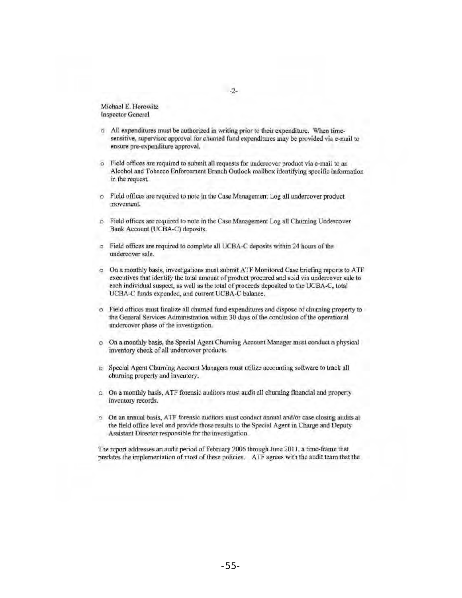Michael E. Horowit2 Inspector General

- $\circ$  All expenditures must be authorized in writing prior to their expenditure. When timesensitive, supervisor approval for churned fund expenditures may be provided via e-mail to ensure pre-expenditure approval.
- o Field offices are required to submit all requests for undercover product via e-mail to an Alcohol and Tobacco Enforcement Branch Outlook mailbox identifying specific information in the request.
- o Field offices are required to note in the Case Management Log all undercover product movement.
- o Field offices arc required to note in the Case Managemem Log all Churning Undercover Bank Account (UCBA-C) deposits.
- o Field offices are required to complete all UCBA-C deposits within 24 hours of the undercover sale.
- $\circ$  On a monthly basis, investigations must submit ATF Monitored Case briefing reports to ATF executives that identify Ihe total amount of product procured and sold via undercover sale to each individual suspect, as well as the total of proceeds deposited to the UCBA-C, total UCBA-C funds expended, and current lJCBA·C balance.
- $\circ$  Field offices must finalize all churned fund expenditures and dispose of churning property to the General Services Administration within 30 days of the conclusion of the operational undercover phase of the investigation.
- o On a monthly basis, the Special Agent Churning Account Manager must conduct a physical inventory check of all undercover products.
- o Special Agent Churning Account Managers must utilize accounting software to track all churning property and inventory.
- o On a monthly basis, ATF forensic auditors must audit all churning financial and property inventory records.
- $\circ$  On an annual basis. ATF forensic auditors must conduct annual and/or case closing audits at the field office level and provide those results to the Special Agent in Charge and Deputy Assistant Director responsible for the investigation.

The report addresses an audit period of February 2006 through June 2011, a time-frame that predates the implementation of most of these policies. ATF agrees with the audit team that the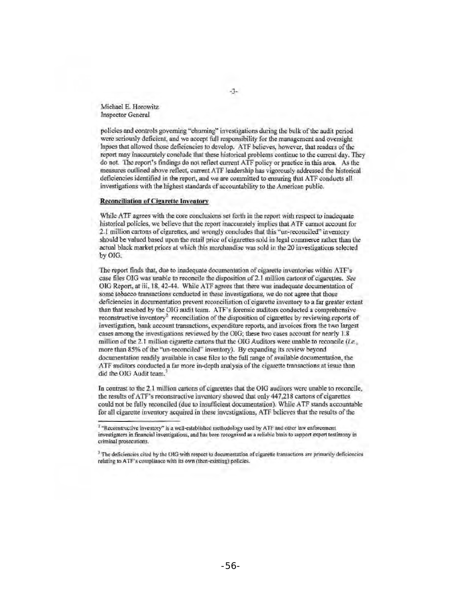Michael E. Horowitz Inspector General

policies and controls governing "churning" investigations during the bulk of the audit period were seriously deficient, and we accept full responsibility for the management and oversight lapses that allowed those deficiencies to develop. ATF believes, however, that readers of the report may inaccurately conclude that these historical problems continue to the current day. They do not. The report's findings do not reflect current ATF policy or practice in this area. As the measures outlined above reflect, current ATF leadership has vigorously addressed the historical deficiencies identified in the report, and we are committed to ensuring that ATF conducts all investigations with the highest standards of accountability to the American public.

#### Reconciliation of Cigarette Inventory

While ATF agrees with the core conclusions set forth in the report with respect to inadequate historical policies, we believe that the report inaccurately implies that ATF cannot account for 2. 1 million cartons of cigarettes, and wrongly concludes that this "un-reconciled" inventory should be valued based upon the retail price of cigarettes sold in legal commerce rather than the actual black market prices at which this merchandise was sold in the 20 investigations selected by OIG.

The report finds that, due to inadequate documentation of cigarette inventories within ATF's case files OIG was unable to reconcile the disposition of 2.1 million cartons of cigarettes. See OIG Report, at iii, 18, 42-44. While ATF agrees that there was inadequate documentation of some tobacco transactions conducted in these investigations, we do not agree that those deficiencies in documentation prevent reconciliation of cigarette inventory to a far greater extent than that reached by the DIG audit team. ATF's forensic auditors conducted a compreilcnsive reconstructive inventory<sup>2</sup> reconciliation of the disposition of cigarettes by reviewing reports of investigation, bank account transactions, expenditure reports, and invoices from the two largest cases among the investigations reviewed by the OIG; these two cases account for nearly 1.8 million of the 2.1 million cigarette cartons that the OIG Auditors were unable to reconcile  $(l.e.,$ more than 85% of the "un-reconciled'" inventory). By expanding its review beyond documentation readily available in case files to the full range of available documentation, the ATF auditors conducted a far more in-depth analysis of the cigarette transactions at issue than did the OIG Audit team.<sup>3</sup>

In contrast to the 2.1 million cartons of cigarettes that the OIG auditors were unable to reconcile, the results of ATF's reconstructive inventory showed that only 447,218 cartons of cigarettes could not be fully reconciled (due to insufficient documentation). While ATF stands accountable for all cigarette inventory acquired in these investigations, ATF believes that the results of the

<sup>&</sup>lt;sup>I</sup> "Reconstructive inventory" is a well-established methodology used by ATF and other law enforcement investigators in financial investigations, and has been recognized as a reliable basis to support expert testimony in criminal prosecutions.

<sup>&</sup>lt;sup>3</sup> The deficiencies cited by the UIG with respect to documentation of cigarette transactions are primarily deficiencies relating to ATF's compliance with its own (then-existing) policies.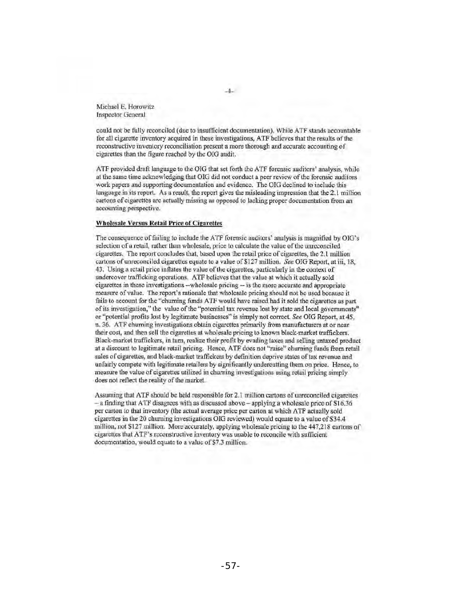Michael E. Horowitz Inspector General

could not be fully reconciled (due to insufficient documentation). While ATF stands accountable for all cigarette inventory acquired in these investigations, ATF believes that the results of the reconstructive inventory reconciliation present a more thorough and accurate accounting of cigarettes than the figure reached by the DIG audit.

ATF provided draft language to the OIG that set forth the ATF forensic auditors' analysis, while at the same time acknowledging that OIG did not conduct a peer review of the forensic auditors work papers and supporting documentation and evidence. The OIG declined to include this language in its report. As a result, the report gives the misleading impression that the 2.1 million cartons of cigarettes arc actually missing as opposed to lacking proper documentation from an accounting perspective.

#### Wholesale Versus Retail Price of Cigarettes

The consequence of failing to include the ATF' forensic auditors' analysis is magnified by OIG's selection of a retail, rather than wholesale, price to calculate the value of the unreconciled cigarettes. The report concludes that, based upon the retail price of cigarettes, the 2.1 million cartons of unreconciled cigarettes equate to a value of \$127 million. *See* OIG Report, at iii, 18, 43. Using a retail price inflates the value of the cigarettes, particularly in the context of undercover trafficking operations. ATF believes that the value at which it actually sold cigarettes in these investigations --wholesale pricing -- is the more accurate and appropriate measure of value. The report's rationale that wholesale pricing should not be used because it fails to account for the "churning funds ATF would have raised had it sold the cigarettes as part of its investigation," the value of the "potential tax revenue lost by state and local governments" or "potential profits lost by legitimate busincsscs" is simply not correct. *See* OlG Report, at 45, n. 36. ATF churning investigations obtain cigarettes primarily from manufacturers at or near their cost, and then sell the cigarettes at wholesale pricing to known black-market traffickers. Black-market traffickers, in turn, realize their profit by evading taxes and selling untaxed product at a discount to legitimate retail pricing. Hence, ATF does not "raise" churning funds from retail sales of cigarettes, and black-market traffickers by definition deprive states of tax revenue and unfairly compete with legitimate retailers by siguificanlly undercutting them on price. Hence, to measure the value of cigarettes utilized in churning investigations using retail pricing simply does not reflect the reality of the market.

Assuming that ATF should be held responsible for 2.1 million cartons of unreconciled cigarettes  $-$  a finding that ATF disagrees with as discussed above  $-$  applying a wholesale price of \$16.36 per carton to Ihat inventory (the actual average price per carton at which ATF actually sold cigarettes in the 20 churning investigations OIG reviewed) would equate to a value of \$34.4 million, not \$127 million. More accurately, applying wholesale pricing to the 447,218 cartons of cigarettcs that ATF's reconstructive inventory was uuable 10 reconcile with sufficient documentation, would equate to a value of \$7.3 million.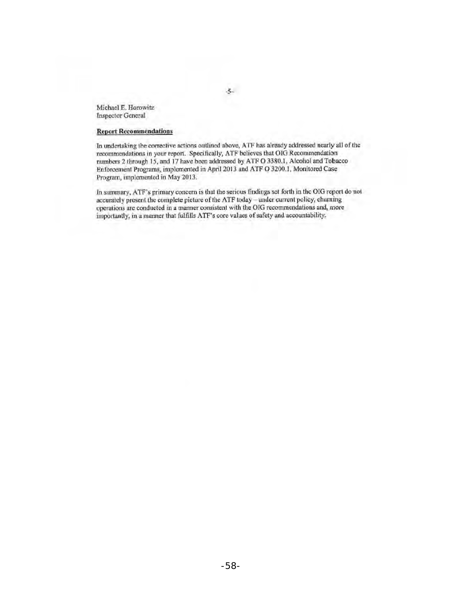Michael E. Horowitz Inspector General

#### **Report Recommendations**

In undertaking the corrective actions outlined above, ATF has already addressed nearly all of the recommendations in your report. Specifically, ATF believes that OIG Recommendation numbers 2 through 15, and 17 have been addressed by ATF O 3380.1, Alcohol and Tobacco Enforcement Programs, implemented in April 2013 and ATF O 3200.1, Monitored Case Program, implemented in May 2013.

In summary, ATF's primary concern is that the serious findings set forth in the OIG report do not accurately present the complete picture of the ATF today - under current policy, churning operations arc conducted in a manner consistent with the OIG recommendations and, more importantly, in a manner that fulfills ATF's core values of safety and accountability.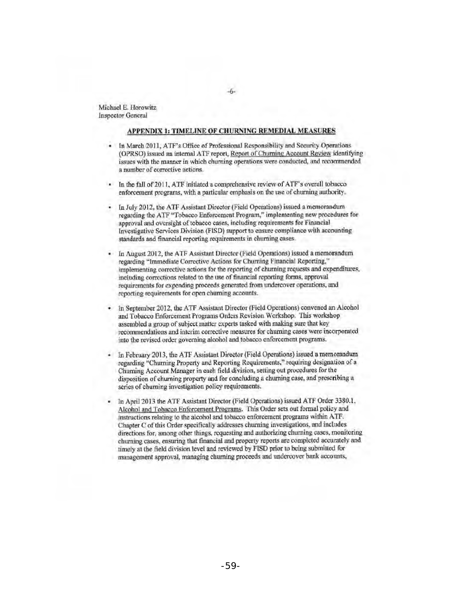Michael E. HorowitZ Inspector General

#### APPENDIX 1: TIMELINE OF CHURNING REMEDIAL MEASURES

- In March 2011, ATF's Office of Professional Responsibility and Security Operations (OPRSO) issued an internal ATF report. Report of Churning Account Review identifying issues with the manner in which churning operations were conducted, and recommended a number of corrective actions.
- In the fall of 2011, ATF initiated a comprehensive review of ATF's overall tobacco ×. enforcement programs, with a particular emphnsis on the use of churning authority.
- In July 2012, the ATF Assistant Director (Field Operations) issued a memorandum regarding the A TF '"Tobacco Enforcement Program," implementing new procedures for approval and oversight of tobacco cases, including requirements for financial Investigative Services Division (F1SD) support to ensure compliance with accounting standards and financial reporting requirements in churning cases.
- In August 2012, the ATF Assistant Director (Field Operations) issued a memorandum regarding "Immediate Corrective Actions for Churning Financial Reporting," implementing corrective actions for the reporting of churning requests and expenditures, including corrections related to the use of financial reporting forms, approval requirements for expending proceeds generated from undercover operations, and reporting requirements for open churning accounts.
- In September 2012, the ATF Assistant Director (Field Operations) convened an Alcohol and Tobacco Enforcement Programs Orders Revision Workshop. This workshop assembled a group of subject matter cxpens tasked with making sure that key recommendations and interim corrective measures for churning cases were incorporated into the revised order governing alcohol and tobacco enforcement programs.
- In February 2013, the ATF Assistant Director (Field Operations) issued a memorandum regarding "Churning Property and Reporting Requirements," requiring designation of a Churning Account Manager in each field division, setting out procedures for the disposition of churning property and for concluding a churning case, and prescribing a series of churning investigation policy requirements.
- In April 2013 the ATF Assistant Director (Field Operations) issued ATF Order 3380.1, Alcohol and Tobacco Enforcement Programs. This Order sets out formal policy and instructions relating to the alcohol and tobacco enforcement programs within ATF. Chapter C of this Order specifically addresses churning investigations, and includes directions for, among other things, requesting and authorizing churning cases, monitoring churning cases, ensuring that financial and property reports are completed accurately and timely at the field division level and reviewed by FlSD prior to being submitted for management approval, managing churning proceeds and undercover bank accounts,

-6-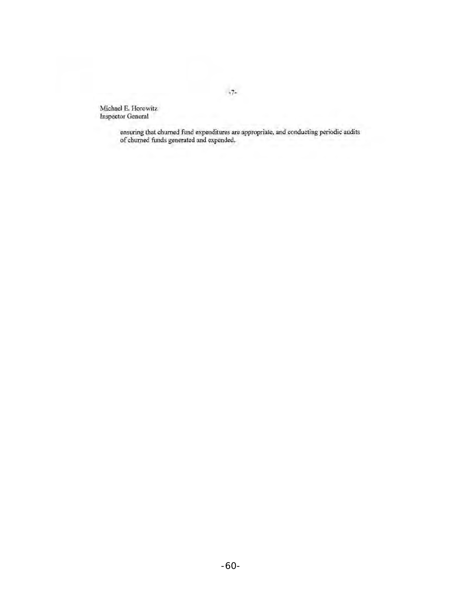Michael E. Horowitz Inspector General

> ensuring that churned fund expenditures are appropriate, and conducting periodic audits of churned funds generated and expended.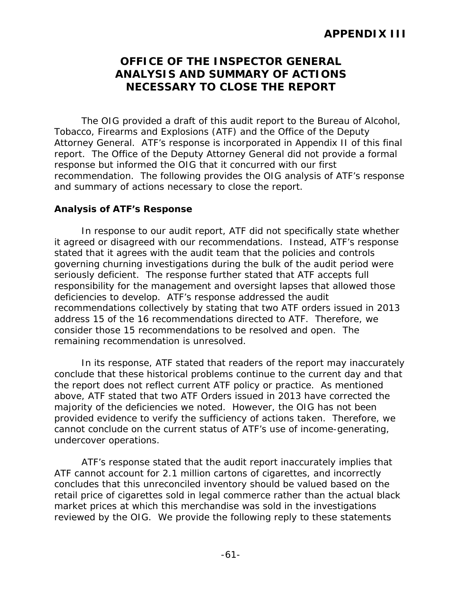# **OFFICE OF THE INSPECTOR GENERAL ANALYSIS AND SUMMARY OF ACTIONS NECESSARY TO CLOSE THE REPORT**

The OIG provided a draft of this audit report to the Bureau of Alcohol, Tobacco, Firearms and Explosions (ATF) and the Office of the Deputy Attorney General. ATF's response is incorporated in Appendix II of this final report. The Office of the Deputy Attorney General did not provide a formal response but informed the OIG that it concurred with our first recommendation. The following provides the OIG analysis of ATF's response and summary of actions necessary to close the report.

## **Analysis of ATF's Response**

In response to our audit report, ATF did not specifically state whether it agreed or disagreed with our recommendations. Instead, ATF's response stated that it agrees with the audit team that the policies and controls governing churning investigations during the bulk of the audit period were seriously deficient. The response further stated that ATF accepts full responsibility for the management and oversight lapses that allowed those deficiencies to develop. ATF's response addressed the audit recommendations collectively by stating that two ATF orders issued in 2013 address 15 of the 16 recommendations directed to ATF. Therefore, we consider those 15 recommendations to be resolved and open. The remaining recommendation is unresolved.

In its response, ATF stated that readers of the report may inaccurately conclude that these historical problems continue to the current day and that the report does not reflect current ATF policy or practice. As mentioned above, ATF stated that two ATF Orders issued in 2013 have corrected the majority of the deficiencies we noted. However, the OIG has not been provided evidence to verify the sufficiency of actions taken. Therefore, we cannot conclude on the current status of ATF's use of income-generating, undercover operations.

ATF's response stated that the audit report inaccurately implies that ATF cannot account for 2.1 million cartons of cigarettes, and incorrectly concludes that this unreconciled inventory should be valued based on the retail price of cigarettes sold in legal commerce rather than the actual black market prices at which this merchandise was sold in the investigations reviewed by the OIG. We provide the following reply to these statements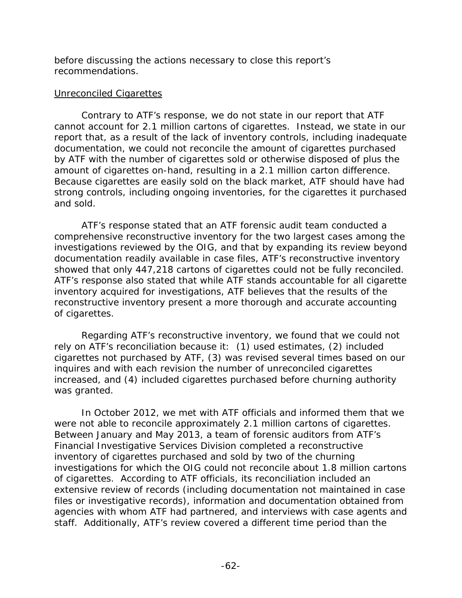before discussing the actions necessary to close this report's recommendations.

## Unreconciled Cigarettes

Contrary to ATF's response, we do not state in our report that ATF cannot account for 2.1 million cartons of cigarettes. Instead, we state in our report that, as a result of the lack of inventory controls, including inadequate documentation, we could not reconcile the amount of cigarettes purchased by ATF with the number of cigarettes sold or otherwise disposed of plus the amount of cigarettes on-hand, resulting in a 2.1 million carton difference. Because cigarettes are easily sold on the black market, ATF should have had strong controls, including ongoing inventories, for the cigarettes it purchased and sold.

ATF's response stated that an ATF forensic audit team conducted a comprehensive reconstructive inventory for the two largest cases among the investigations reviewed by the OIG, and that by expanding its review beyond documentation readily available in case files, ATF's reconstructive inventory showed that only 447,218 cartons of cigarettes could not be fully reconciled. ATF's response also stated that while ATF stands accountable for all cigarette inventory acquired for investigations, ATF believes that the results of the reconstructive inventory present a more thorough and accurate accounting of cigarettes.

Regarding ATF's reconstructive inventory, we found that we could not rely on ATF's reconciliation because it: (1) used estimates, (2) included cigarettes not purchased by ATF, (3) was revised several times based on our inquires and with each revision the number of unreconciled cigarettes increased, and (4) included cigarettes purchased before churning authority was granted.

In October 2012, we met with ATF officials and informed them that we were not able to reconcile approximately 2.1 million cartons of cigarettes. Between January and May 2013, a team of forensic auditors from ATF's Financial Investigative Services Division completed a reconstructive inventory of cigarettes purchased and sold by two of the churning investigations for which the OIG could not reconcile about 1.8 million cartons of cigarettes. According to ATF officials, its reconciliation included an extensive review of records (including documentation not maintained in case files or investigative records), information and documentation obtained from agencies with whom ATF had partnered, and interviews with case agents and staff. Additionally, ATF's review covered a different time period than the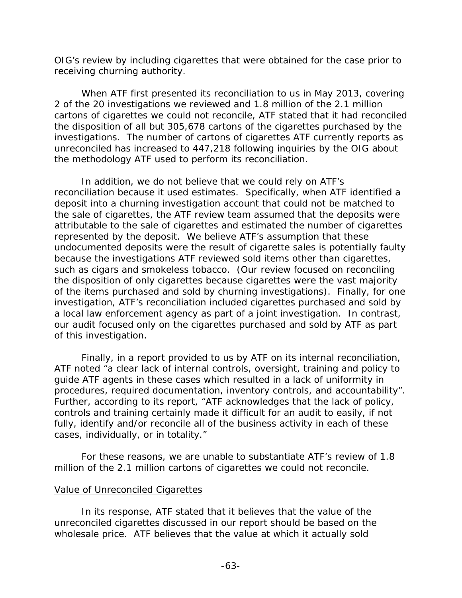OIG's review by including cigarettes that were obtained for the case prior to receiving churning authority.

When ATF first presented its reconciliation to us in May 2013, covering 2 of the 20 investigations we reviewed and 1.8 million of the 2.1 million cartons of cigarettes we could not reconcile, ATF stated that it had reconciled the disposition of all but 305,678 cartons of the cigarettes purchased by the investigations. The number of cartons of cigarettes ATF currently reports as unreconciled has increased to 447,218 following inquiries by the OIG about the methodology ATF used to perform its reconciliation.

In addition, we do not believe that we could rely on ATF's reconciliation because it used estimates. Specifically, when ATF identified a deposit into a churning investigation account that could not be matched to the sale of cigarettes, the ATF review team assumed that the deposits were attributable to the sale of cigarettes and estimated the number of cigarettes represented by the deposit. We believe ATF's assumption that these undocumented deposits were the result of cigarette sales is potentially faulty because the investigations ATF reviewed sold items other than cigarettes, such as cigars and smokeless tobacco. (Our review focused on reconciling the disposition of only cigarettes because cigarettes were the vast majority of the items purchased and sold by churning investigations). Finally, for one investigation, ATF's reconciliation included cigarettes purchased and sold by a local law enforcement agency as part of a joint investigation. In contrast, our audit focused only on the cigarettes purchased and sold by ATF as part of this investigation.

Finally, in a report provided to us by ATF on its internal reconciliation, ATF noted "a clear lack of internal controls, oversight, training and policy to guide ATF agents in these cases which resulted in a lack of uniformity in procedures, required documentation, inventory controls, and accountability". Further, according to its report, "ATF acknowledges that the lack of policy, controls and training certainly made it difficult for an audit to easily, if not fully, identify and/or reconcile all of the business activity in each of these cases, individually, or in totality."

For these reasons, we are unable to substantiate ATF's review of 1.8 million of the 2.1 million cartons of cigarettes we could not reconcile.

# Value of Unreconciled Cigarettes

In its response, ATF stated that it believes that the value of the unreconciled cigarettes discussed in our report should be based on the wholesale price. ATF believes that the value at which it actually sold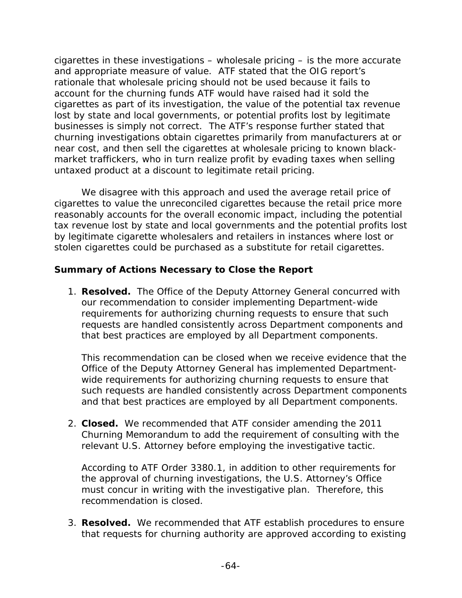cigarettes in these investigations – wholesale pricing – is the more accurate and appropriate measure of value. ATF stated that the OIG report's rationale that wholesale pricing should not be used because it fails to account for the churning funds ATF would have raised had it sold the cigarettes as part of its investigation, the value of the potential tax revenue lost by state and local governments, or potential profits lost by legitimate businesses is simply not correct. The ATF's response further stated that churning investigations obtain cigarettes primarily from manufacturers at or near cost, and then sell the cigarettes at wholesale pricing to known blackmarket traffickers, who in turn realize profit by evading taxes when selling untaxed product at a discount to legitimate retail pricing.

We disagree with this approach and used the average retail price of cigarettes to value the unreconciled cigarettes because the retail price more reasonably accounts for the overall economic impact, including the potential tax revenue lost by state and local governments and the potential profits lost by legitimate cigarette wholesalers and retailers in instances where lost or stolen cigarettes could be purchased as a substitute for retail cigarettes.

# **Summary of Actions Necessary to Close the Report**

1. **Resolved.** The Office of the Deputy Attorney General concurred with our recommendation to consider implementing Department-wide requirements for authorizing churning requests to ensure that such requests are handled consistently across Department components and that best practices are employed by all Department components.

This recommendation can be closed when we receive evidence that the Office of the Deputy Attorney General has implemented Departmentwide requirements for authorizing churning requests to ensure that such requests are handled consistently across Department components and that best practices are employed by all Department components.

2. **Closed.** We recommended that ATF consider amending the 2011 Churning Memorandum to add the requirement of consulting with the relevant U.S. Attorney before employing the investigative tactic.

According to ATF Order 3380.1, in addition to other requirements for the approval of churning investigations, the U.S. Attorney's Office must concur in writing with the investigative plan. Therefore, this recommendation is closed.

3. **Resolved.** We recommended that ATF establish procedures to ensure that requests for churning authority are approved according to existing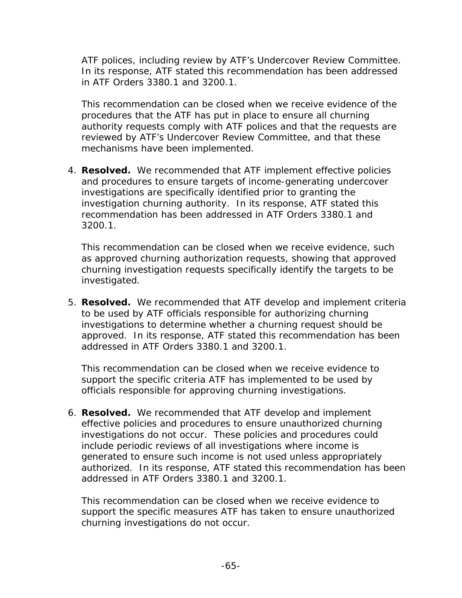ATF polices, including review by ATF's Undercover Review Committee. In its response, ATF stated this recommendation has been addressed in ATF Orders 3380.1 and 3200.1.

This recommendation can be closed when we receive evidence of the procedures that the ATF has put in place to ensure all churning authority requests comply with ATF polices and that the requests are reviewed by ATF's Undercover Review Committee, and that these mechanisms have been implemented.

4. **Resolved.** We recommended that ATF implement effective policies and procedures to ensure targets of income-generating undercover investigations are specifically identified prior to granting the investigation churning authority. In its response, ATF stated this recommendation has been addressed in ATF Orders 3380.1 and 3200.1.

This recommendation can be closed when we receive evidence, such as approved churning authorization requests, showing that approved churning investigation requests specifically identify the targets to be investigated.

5. **Resolved.** We recommended that ATF develop and implement criteria to be used by ATF officials responsible for authorizing churning investigations to determine whether a churning request should be approved. In its response, ATF stated this recommendation has been addressed in ATF Orders 3380.1 and 3200.1.

This recommendation can be closed when we receive evidence to support the specific criteria ATF has implemented to be used by officials responsible for approving churning investigations.

6. **Resolved.** We recommended that ATF develop and implement effective policies and procedures to ensure unauthorized churning investigations do not occur. These policies and procedures could include periodic reviews of all investigations where income is generated to ensure such income is not used unless appropriately authorized. In its response, ATF stated this recommendation has been addressed in ATF Orders 3380.1 and 3200.1.

This recommendation can be closed when we receive evidence to support the specific measures ATF has taken to ensure unauthorized churning investigations do not occur.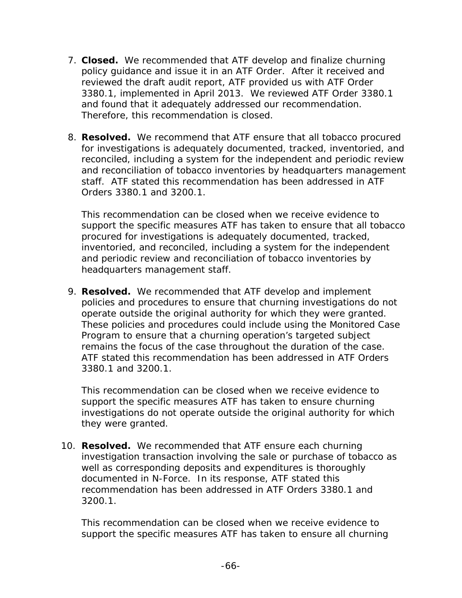- 7. **Closed.** We recommended that ATF develop and finalize churning policy guidance and issue it in an ATF Order. After it received and reviewed the draft audit report, ATF provided us with ATF Order 3380.1, implemented in April 2013. We reviewed ATF Order 3380.1 and found that it adequately addressed our recommendation. Therefore, this recommendation is closed.
- 8. **Resolved.** We recommend that ATF ensure that all tobacco procured for investigations is adequately documented, tracked, inventoried, and reconciled, including a system for the independent and periodic review and reconciliation of tobacco inventories by headquarters management staff. ATF stated this recommendation has been addressed in ATF Orders 3380.1 and 3200.1.

This recommendation can be closed when we receive evidence to support the specific measures ATF has taken to ensure that all tobacco procured for investigations is adequately documented, tracked, inventoried, and reconciled, including a system for the independent and periodic review and reconciliation of tobacco inventories by headquarters management staff.

remains the focus of the case throughout the duration of the case. 9. **Resolved.** We recommended that ATF develop and implement policies and procedures to ensure that churning investigations do not operate outside the original authority for which they were granted. These policies and procedures could include using the Monitored Case Program to ensure that a churning operation's targeted subject ATF stated this recommendation has been addressed in ATF Orders. 3380.1 and 3200.1.

This recommendation can be closed when we receive evidence to support the specific measures ATF has taken to ensure churning investigations do not operate outside the original authority for which they were granted.

10. **Resolved.** We recommended that ATF ensure each churning investigation transaction involving the sale or purchase of tobacco as well as corresponding deposits and expenditures is thoroughly documented in N-Force. In its response, ATF stated this recommendation has been addressed in ATF Orders 3380.1 and 3200.1.

This recommendation can be closed when we receive evidence to support the specific measures ATF has taken to ensure all churning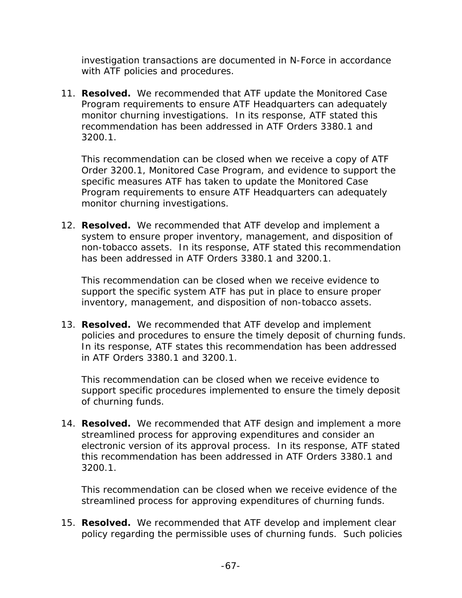investigation transactions are documented in N-Force in accordance with ATF policies and procedures.

11. Resolved. We recommended that ATF update the Monitored Case Program requirements to ensure ATF Headquarters can adequately monitor churning investigations. In its response, ATF stated this recommendation has been addressed in ATF Orders 3380.1 and 3200.1.

This recommendation can be closed when we receive a copy of ATF Order 3200.1, Monitored Case Program, and evidence to support the specific measures ATF has taken to update the Monitored Case Program requirements to ensure ATF Headquarters can adequately monitor churning investigations.

12. Resolved. We recommended that ATF develop and implement a system to ensure proper inventory, management, and disposition of non-tobacco assets. In its response, ATF stated this recommendation has been addressed in ATF Orders 3380.1 and 3200.1.

This recommendation can be closed when we receive evidence to support the specific system ATF has put in place to ensure proper inventory, management, and disposition of non-tobacco assets.

13. Resolved. We recommended that ATF develop and implement policies and procedures to ensure the timely deposit of churning funds. In its response, ATF states this recommendation has been addressed in ATF Orders 3380.1 and 3200.1.

This recommendation can be closed when we receive evidence to support specific procedures implemented to ensure the timely deposit of churning funds.

14. **Resolved.** We recommended that ATF design and implement a more streamlined process for approving expenditures and consider an electronic version of its approval process. In its response, ATF stated this recommendation has been addressed in ATF Orders 3380.1 and 3200.1.

This recommendation can be closed when we receive evidence of the streamlined process for approving expenditures of churning funds.

15. Resolved. We recommended that ATF develop and implement clear policy regarding the permissible uses of churning funds. Such policies